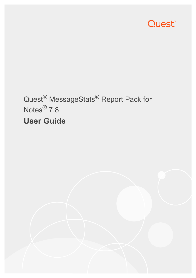

# Quest® MessageStats® Report Pack for Notes® 7.8 **User Guide**

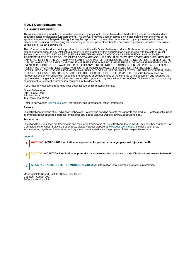#### **© 2021 Quest Software Inc.**

#### **ALL RIGHTS RESERVED.**

This guide contains proprietary information protected by copyright. The software described in this guide is furnished under a software license or nondisclosure agreement. This software may be used or copied only in accordance with the terms of the applicable agreement. No part of this guide may be reproduced or transmitted in any form or by any means, electronic or mechanical, including photocopying and recording for any purpose other than the purchaser's personal use without the written permission of Quest Software Inc.

The information in this document is provided in connection with Quest Software products. No license, express or implied, by estoppel or otherwise, to any intellectual property right is granted by this document or in connection with the sale of Quest<br>Software products. EXCEPT AS SET FORTH IN THE TERMS AND CONDITIONS AS SPECIFIED IN THE LICENSE<br>A EXPRESS, IMPLIED OR STATUTORY WARRANTY RELATING TO ITS PRODUCTS INCLUDING, BUT NOT LIMITED TO, THE IMPLIED WARRANTY OF MERCHANTABILITY, FITNESS FOR A PARTICULAR PURPOSE, OR NON-INFRINGEMENT. IN NO EVENT SHALL QUEST SOFTWARE BE LIABLE FOR ANY DIRECT, INDIRECT, CONSEQUENTIAL, PUNITIVE, SPECIAL OR INCIDENTAL DAMAGES (INCLUDING, WITHOUT LIMITATION, DAMAGES FOR LOSS OF PROFITS, BUSINESS<br>INTERRUPTION OR LOSS OF INFORMATION) ARISING OUT OF THE USE OR INABILITY TO USE THIS DOCUMENT, EVEN IF QUEST SOFTWARE HAS BEEN ADVISED OF THE POSSIBILITY OF SUCH DAMAGES. Quest Software makes no representations or warranties with respect to the accuracy or completeness of the contents of this document and reserves the right to make changes to specifications and product descriptions at any time without notice. Quest Software does not make any commitment to update the information contained in this document.

If you have any questions regarding your potential use of this material, contact:

Quest Software Inc. Attn: LEGAL Dept. 4 Polaris Way Aliso Viejo, CA 92656

Refer to our website [\(www.quest.com](http://www.quest.com)) for regional and international office information.

#### **Patents**

Quest Software is proud of our advanced technology. Patents and pending patents may apply to this product. For the most current information about applicable patents for this product, please visit our website at www.quest.com/legal.

#### **Trademarks**

Quest and the Quest logo are trademarks and registered trademarks of Quest Software Inc. in the U.S.A. and other countries. For a complete list of Quest Software trademarks, please visit our website at [www.quest.com/legal.](http://www.quest.com/legal) All other trademarks, servicemarks, registered trademarks, and registered servicemarks are the property of their respective owners.

#### **Legend**

- **WARNING: A WARNING icon indicates a potential for property damage, personal injury, or death.**
- **CAUTION: A CAUTION icon indicates potential damage to hardware or loss of data if instructions are not followed.** Ţ

**IMPORTANT NOTE**, **NOTE**, **TIP**, **MOBILE**, or **VIDEO:** An information icon indicates supporting information.f.

MessageStats Report Pack for Notes User Guide Updated - August 2021 Software Version - 7.8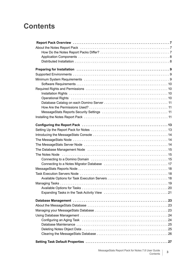## **Contents**

| Operational Rights (and according to the contract of the contract of the contract of the contract of the contract of the contract of the contract of the contract of the contract of the contract of the contract of the contr |
|--------------------------------------------------------------------------------------------------------------------------------------------------------------------------------------------------------------------------------|
|                                                                                                                                                                                                                                |
|                                                                                                                                                                                                                                |
|                                                                                                                                                                                                                                |
|                                                                                                                                                                                                                                |
|                                                                                                                                                                                                                                |
|                                                                                                                                                                                                                                |
|                                                                                                                                                                                                                                |
|                                                                                                                                                                                                                                |
|                                                                                                                                                                                                                                |
| The Database Management Node (Containmental contract containmental and 15                                                                                                                                                      |
|                                                                                                                                                                                                                                |
|                                                                                                                                                                                                                                |
|                                                                                                                                                                                                                                |
|                                                                                                                                                                                                                                |
|                                                                                                                                                                                                                                |
|                                                                                                                                                                                                                                |
|                                                                                                                                                                                                                                |
| Available Options for Tasks                                                                                                                                                                                                    |
|                                                                                                                                                                                                                                |
|                                                                                                                                                                                                                                |
|                                                                                                                                                                                                                                |
|                                                                                                                                                                                                                                |
|                                                                                                                                                                                                                                |
|                                                                                                                                                                                                                                |
|                                                                                                                                                                                                                                |
|                                                                                                                                                                                                                                |
|                                                                                                                                                                                                                                |
|                                                                                                                                                                                                                                |
|                                                                                                                                                                                                                                |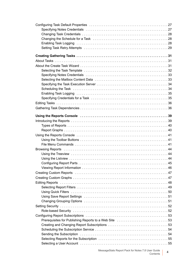MessageStats Report Pack for Notes 7.8 User Guide ser Guide **4**<br>Contents **4**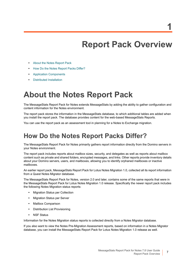**1**

# **Report Pack Overview**

- <span id="page-6-0"></span>**•** [About the Notes Report Pack](#page-6-1)
- **•** [How Do the Notes Report Packs Differ?](#page-6-2)
- **•** [Application Components](#page-7-0)
- **•** [Distributed Installation](#page-7-1)

## <span id="page-6-1"></span>**About the Notes Report Pack**

The MessageStats Report Pack for Notes extends MessageStats by adding the ability to gather configuration and content information for the Notes environment.

The report pack stores the information in the MessageStats database, to which additional tables are added when you install the report pack. The database provides content for the web-based MessageStats Reports.

You can use the report pack as an assessment tool in planning for a Notes to Exchange migration.

### <span id="page-6-2"></span>**How Do the Notes Report Packs Differ?**

The MessageStats Report Pack for Notes primarily gathers report information directly from the Domino servers in your Notes environment.

The report pack includes reports about mailbox sizes, security, and delegates as well as reports about mailbox content such as private and shared folders, encrypted messages, and links. Other reports provide inventory details about your Domino servers, users, and mailboxes, allowing you to identify orphaned mailboxes or inactive mailboxes.

An earlier report pack, MessageStats Report Pack for Lotus Notes Migration 1.0, collected all its report information from a Quest Notes Migrator database.

The MessageStats Report Pack for Notes, version 2.0 and later, contains some of the same reports that were in the MessageStats Report Pack for Lotus Notes Migration 1.0 release. Specifically the newer report pack includes the following Notes Migration status reports:

- **•** Migration Status per Collection
- **•** Migration Status per Server
- **•** Mailbox Comparison
- **•** Distribution List Provisioning
- **•** NSF Status

Information for the Notes Migration status reports is collected directly from a Notes Migrator database.

If you also want to view the Notes Pre-Migration Assessment reports, based on information in a Notes Migrator database, you can install the MessageStats Report Pack for Lotus Notes Migration 1.0 release as well.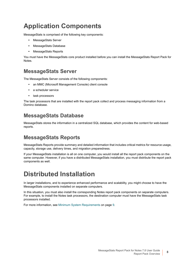## <span id="page-7-0"></span>**Application Components**

MessageStats is comprised of the following key components:

- **•** MessageStats Server
- **•** MessageStats Database
- **•** MessageStats Reports

You must have the MessageStats core product installed before you can install the MessageStats Report Pack for **Notes** 

### **MessageStats Server**

The MessageStats Server consists of the following components:

- **•** an MMC (Microsoft Management Console) client console
- **•** a scheduler service
- **•** task processors

The task processors that are installed with the report pack collect and process messaging information from a Domino database.

### **MessageStats Database**

MessageStats stores the information in a centralized SQL database, which provides the content for web-based reports.

### **MessageStats Reports**

MessageStats Reports provide summary and detailed information that includes critical metrics for resource usage, capacity, storage use, delivery times, and migration preparedness.

If your MessageStats installation is all on one computer, you would install all the report pack components on the same computer. However, if you have a distributed MessageStats installation, you must distribute the report pack components as well.

## <span id="page-7-1"></span>**Distributed Installation**

In larger installations, and to experience enhanced performance and scalability, you might choose to have the MessageStats components installed on separate computers.

In this situation, you must also install the corresponding Notes report pack components on separate computers. For example, to install the Notes task processors, the destination computer must have the MessageStats task processors installed.

For more information, see [Minimum System Requirements on page 9](#page-8-3).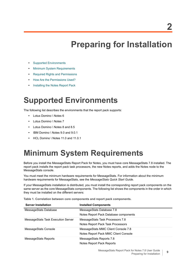# **Preparing for Installation**

- <span id="page-8-0"></span>**•** [Supported Environments](#page-8-1)
- **•** [Minimum System Requirements](#page-8-2)
- **•** [Required Rights and Permissions](#page-9-1)
- **•** [How Are the Permissions Used?](#page-10-1)
- **•** [Installing the Notes Report Pack](#page-10-3)

# <span id="page-8-1"></span>**Supported Environments**

The following list describes the environments that the report pack supports:

- **•** Lotus Domino \ Notes 6
- **•** Lotus Domino \ Notes 7
- **•** Lotus Domino \ Notes 8 and 8.5
- **•** IBM Domino \ Notes 9.0 and 9.0.1
- **•** HCL Domino \ Notes 11.0 and 11.0.1

# <span id="page-8-3"></span><span id="page-8-2"></span>**Minimum System Requirements**

Before you install the MessageStats Report Pack for Notes, you must have core MessageStats 7.8 installed. The report pack installs the report pack task processors, the new Notes reports, and adds the Notes node to the MessageStats console.

You must meet the minimum hardware requirements for MessageStats. For information about the minimum hardware requirements for MessageStats, see the *MessageStats Quick Start Guide*.

If your MessageStats installation is distributed, you must install the corresponding report pack components on the same server as the core MessageStats components. The following list shows the components in the order in which they must be installed on the different servers:

**Table 1. Correlation between core components and report pack components.**

| <b>Server Installation</b>         | <b>Installed Components</b>           |
|------------------------------------|---------------------------------------|
| MessageStats Database              | MessageStats Database 7.8             |
|                                    | Notes Report Pack Database components |
| MessageStats Task Execution Server | MessageStats Task Processors 7.8      |
|                                    | Notes Report Pack Task Processors     |
| MessageStats Console               | MessageStats MMC Client Console 7.8   |
|                                    | Notes Report Pack MMC Client Console  |
| MessageStats Reports               | MessageStats Reports 7.8              |
|                                    | Notes Report Pack Reports             |

**9**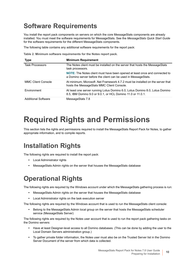## <span id="page-9-0"></span>**Software Requirements**

You install the report pack components on servers on which the core MessageStats components are already installed. You must meet the software requirements for MessageStats. See the *MessageStats Quick Start Guide*  for the software requirements for the different MessageStats components.

The following table contains any additional software requirements for the report pack:

**Table 2. Minimum software requirements for the Notes report pack.**

| Type                       | <b>Minimum Requirement</b>                                                                                                                           |
|----------------------------|------------------------------------------------------------------------------------------------------------------------------------------------------|
| <b>Task Processors</b>     | The Notes client must be installed on the server that hosts the MessageStats<br>task processors.                                                     |
|                            | <b>NOTE:</b> The Notes client must have been opened at least once and connected to<br>a Domino server before the client can be used in MessageStats. |
| <b>MMC Client Console</b>  | At minimum, Microsoft .Net Framework 4.7.2 must be installed on the server that<br>hosts the MessageStats MMC Client Console.                        |
| Environment                | At least one server running Lotus Domino 6.0, Lotus Domino 8.0, Lotus Domino<br>8.5, IBM Domino 9.0 or 9.0.1, or HCL Domino 11.0 or 11.0.1.          |
| <b>Additional Software</b> | MessageStats 7.8                                                                                                                                     |

# <span id="page-9-4"></span><span id="page-9-1"></span>**Required Rights and Permissions**

This section lists the rights and permissions required to install the MessageStats Report Pack for Notes, to gather appropriate information, and to compile reports.

## <span id="page-9-2"></span>**Installation Rights**

The following rights are required to install the report pack:

- **•** Local Administrator rights
- **•** MessageStats Admin rights on the server that houses the MessageStats database

## <span id="page-9-3"></span>**Operational Rights**

The following rights are required by the Windows account under which the MessageStats gathering process is run:

- **•** MessageStats Admin rights on the server that houses the MessageStats database
- **•** Local Administrator rights on the task execution server

The following rights are required by the Windows account that is used to run the MessageStats client console:

**•** Belong to the MessageStats Admin local group on the server that hosts the MessageStats scheduler service (MessageStats Server)

The following rights are required by the Notes user account that is used to run the report pack gathering tasks on the Domino servers:

- **•** Have at least Designer-level access to all Domino databases. (This can be done by adding the user to the Local Domain Servers administration group.)
- **•** To gather private folder information, the Notes user must also be on the Trusted Server list in the Domino Server Document of the server from which data is collected.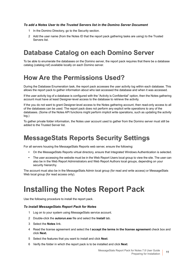#### *To add a Notes User to the Trusted Servers list in the Domino Server Document*

- 1 In the Domino Directory, go to the Security section.
- 2 Add the user name (from the Notes ID that the report pack gathering tasks are using) to the Trusted Servers list.

## <span id="page-10-0"></span>**Database Catalog on each Domino Server**

To be able to enumerate the databases on the Domino server, the report pack requires that there be a database catalog (catalog.nsf) available locally on each Domino server.

### <span id="page-10-1"></span>**How Are the Permissions Used?**

During the Database Enumeration task, the report pack accesses the user activity log within each database. This allows the report pack to gather information about who last accessed the database and when it was accessed.

If the user activity log of a database is configured with the "Activity is Confidential" option, then the Notes gathering account must have at least Designer-level access to the database to retrieve the activity.

If the you do not want to grant Designer-level access to the Notes gathering account, then read-only access to all of the databases can be used. The report pack does not perform any explicit write operations to any of the databases. (Some of the Notes API functions might perform implicit write operations, such as updating the activity log.)

To gather private folder information, the Notes user account used to gather from the Domino server must still be added to the Trusted Server list.

### <span id="page-10-2"></span>**MessageStats Reports Security Settings**

For all servers housing the MessageStats Reports web server, ensure the following:

- **•** On the MessageStats Reports virtual directory, ensure that Integrated Windows Authentication is selected.
- **•** The user accessing the website must be in the Web Report Users local group to view the site. The user can also be in the Web Report Administrators and Web Report Authors local groups, depending on your security hierarchy.

The account must also be in the MessageStats Admin local group (for read and write access) or MessageStats Web local group (for read access only).

## <span id="page-10-3"></span>**Installing the Notes Report Pack**

Use the following procedure to install the report pack.

#### *To install MessageStats Report Pack for Notes*

- 1 Log on to your system using MessageStats service account.
- 2 Double-click the **autorun.exe** file and select the **Install** tab.
- 3 Select the **Notes** link.
- 4 Read the license agreement and select the **I accept the terms in the license agreement** check box and click **Next.**
- 5 Select the features that you want to install and click **Next**.
- 6 Verify the folder in which the report pack is to be installed and click **Next**.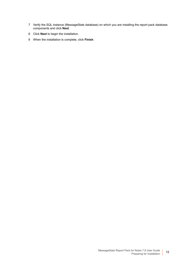- 7 Verify the SQL instance (MessageStats database) on which you are installing the report pack database components and click **Next**.
- 8 Click **Next** to begin the installation.
- 9 When the installation is complete, click **Finish**.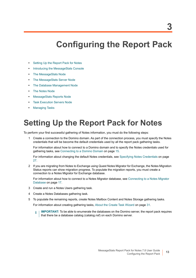# **Configuring the Report Pack**

- <span id="page-12-0"></span>**•** [Setting Up the Report Pack for Notes](#page-12-1)
- **•** [Introducing the MessageStats Console](#page-13-0)
- **•** [The MessageStats Node](#page-13-1)
- **•** [The MessageStats Server Node](#page-13-2)
- **•** [The Database Management Node](#page-14-0)
- **•** [The Notes Node](#page-14-1)
- **•** [MessageStats Reports Node](#page-17-0)
- **[Task Execution Servers Node](#page-17-1)**
- **•** [Managing Tasks](#page-18-0)

# <span id="page-12-1"></span>**Setting Up the Report Pack for Notes**

To perform your first successful gathering of Notes information, you must do the following steps:

1 Create a connection to the Domino domain. As part of the connection process, you must specify the Notes credentials that will be become the default credentials used by all the report pack gathering tasks.

For information about how to connect to a Domino domain and to specify the Notes credentials used for gathering tasks, see [Connecting to a Domino Domain on page 15](#page-14-2).

For information about changing the default Notes credentials, see [Specifying Notes Credentials on page](#page-26-3)  [27.](#page-26-3)

2 If you are migrating from Notes to Exchange using Quest Notes Migrator for Exchange, the Notes Migration Status reports can show migration progress. To populate the migration reports, you must create a connection to a Notes Migrator for Exchange database.

For information about how to connect to a Notes Migrator database, see [Connecting to a Notes Migrator](#page-16-0)  [Database on page 17.](#page-16-0)

- 3 Create and run a Notes Users gathering task.
- 4 Create a Notes Databases gathering task.
- 5 To populate the remaining reports, create Notes Mailbox Content and Notes Storage gathering tasks.

For information about creating gathering tasks, [About the Create Task Wizard on page 31.](#page-30-3)

**IMPORTANT:** To be able to enumerate the databases on the Domino server, the report pack requires f. that there be a database catalog (catalog.nsf) on each Domino server.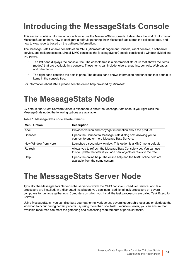# <span id="page-13-0"></span>**Introducing the MessageStats Console**

This section contains information about how to use the MessageStats Console. It describes the kind of information MessageStats gathers, how to configure a default gathering, how MessageStats stores the collected data, and how to view reports based on the gathered information.

The MessageStats Console consists of an MMC (Microsoft Management Console) client console, a scheduler service, and task processors. Like all MMC consoles, the MessageStats Console consists of a window divided into two panes:

- **•** The left pane displays the console tree. The console tree is a hierarchical structure that shows the items (nodes) that are available in a console. These items can include folders, snap-ins, controls, Web pages, and other tools.
- **•** The right pane contains the details pane. The details pane shows information and functions that pertain to items in the console tree.

For information about MMC, please see the online help provided by Microsoft.

# <span id="page-13-1"></span>**The MessageStats Node**

By default, the Quest Software folder is expanded to show the MessageStats node. If you right-click the MessageStats node, the following options are available:

|  |  | Table 1. MessageStats node shortcut menu. |  |  |  |
|--|--|-------------------------------------------|--|--|--|
|--|--|-------------------------------------------|--|--|--|

| <b>Menu Option</b>   | <b>Description</b>                                                                                                                        |
|----------------------|-------------------------------------------------------------------------------------------------------------------------------------------|
| About                | Provides version and copyright information about the product.                                                                             |
| Connect              | Opens the Connect to MessageStats dialog box, allowing you to<br>connect to one or more Message Stats Servers.                            |
| New Window from Here | Launches a secondary window. This option is a MMC menu default.                                                                           |
| Refresh              | Allows you to refresh the Message Stats Console view. You can use<br>this to update the view if you add new objects or tasks to the tree. |
| Help                 | Opens the online help. The online help and the MMC online help are<br>available from the same system.                                     |

## <span id="page-13-2"></span>**The MessageStats Server Node**

Typically, the MessageStats Server is the server on which the MMC console, Scheduler Service, and task processors are installed. In a distributed installation, you can install additional task processors on several computers to run large gatherings. Computers on which you install the task processors are called Task Execution Servers.

Using MessageStats , you can distribute your gathering work across several geographic locations or distribute the workload to occur during certain periods. By using more than one Task Execution Server, you can ensure that available resources can meet the gathering and processing requirements of particular tasks.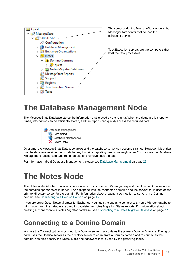

The server under the MessageStats node is the MessageStats server that houses the scheduler service.

Task Execution servers are the computers that host the task processors.

## <span id="page-14-0"></span>**The Database Management Node**

The MessageStats Database stores the information that is used by the reports. When the database is properly tuned, information can be efficiently stored, and the reports can quickly access the required data.

> File Database Management 由 <sup>1</sup> Data Aging **E-Vir Database Maintenance E** > Delete Data

Over time, the MessageStats Database grows and the database server can become strained. However, it is critical that the database retain enough data for any historical reporting needs that might arise. You can use the Database Management functions to tune the database and remove obsolete data.

For information about Database Management, please see [Database Management on page 23](#page-22-3).

## <span id="page-14-1"></span>**The Notes Node**

The Notes node lists the Domino domains to which is connected. When you expand the Domino Domains node, the domains appear as child nodes. The right pane lists the connected domains and the server that is used as the primary directory server for the domain. For information about creating a connection to servers in a Domino domain, see [Connecting to a Domino Domain on page 15.](#page-14-2)

If you are using Quest Notes Migrator for Exchange, you have the option to connect to a Notes Migrator database. Information from the database is used to populate the Notes Migration Status reports. For information about creating a connection to a Notes Migrator database, see [Connecting to a Notes Migrator Database on page 17.](#page-16-0)

### <span id="page-14-2"></span>**Connecting to a Domino Domain**

You use the Connect option to connect to a Domino server that contains the primary Domino Directory. The report pack uses the Domino server as the directory server to enumerate a Domino domain and to connect to the domain. You also specify the Notes ID file and password that is used by the gathering tasks.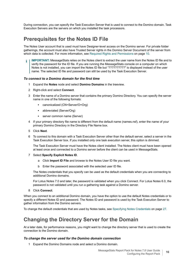During connection, you can specify the Task Execution Server that is used to connect to the Domino domain. Task Execution Servers are the servers on which you installed the task processors.

### **Prerequisites for the Notes ID File**

The Notes User account that is used must have Designer-level access on the Domino server. For private folder gatherings, the account must also have Trusted Server rights in the Domino Server Document of the server from which data is collected. For more information, see [Required Rights and Permissions on page 10](#page-9-4).

**IMPORTANT:** MessageStats relies on the Notes client to extract the user name from the Notes ID file and to ÷ verify the password for the ID file. If you are running the MessageStats console on a computer on which Notes is not installed, you can import the Notes ID file but "??????????" is displayed instead of the user name. The selected ID file and password can still be used by the Task Execution Server.

#### *To connect to a Domino domain for the first time*

- 1 Expand the **Notes** node and select **Domino Domains** in the treeview.
- 2 Right-click and select **Connect**.
- 3 Enter the name of a Domino server that contains the primary Domino Directory. You can specify the server name in one of the following formats:
	- **▪** canonicalized (CN=Server/O=Org)
	- **▪** abbreviated (Server/Org)
	- **▪** server common name (Server)
- 4 If your primary directory file name is different from the default name (names.nsf), enter the name of your primary Domino Directory in the Directory File Name box.
- 5 Click **Next**.
- 6 To connect to this domain with a Task Execution Server other than the default server, select a server in the Task Execution Server box. If you installed only one task execution server, this option is dimmed.

The Task Execution Server must have the Notes client installed. The Notes client must have been opened at least once and connected to a Domino server before the client can be used in MessageStats.

- 7 Select **Specify Explicit Notes ID**.
	- a Click **Import ID File** and browse to the Notes User ID file you want.
	- b Enter the password associated with the selected user ID file.

The Notes credentials that you specify can be used as the default credentials when you are connecting to additional Domino domains.

For Lotus Notes 7.0 and later, the password is validated when you click Connect. For Lotus Notes 6.0, the password is not validated until you run a gathering task against a Domino server.

8 Click **Connect**.

When you connect to an additional Domino domain, you have the option to use the default Notes credentials or to specify a different Notes ID and password. The Notes ID and password is used by the Task Execution Server to gather information from the Domino servers.

To change the default credentials that are used by Notes tasks, see [Specifying Notes Credentials on page 27](#page-26-3).

### **Changing the Directory Server for the Domain**

At a later date, for performance reasons, you might want to change the directory server that is used to create the connection to the Domino domain.

#### *To change the server used for the Domino domain connection*

1 Expand the Domino Domains node and select a Domino domain.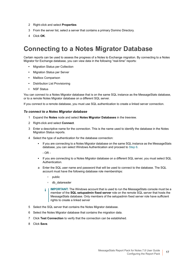- 2 Right-click and select **Properties**
- 3 From the server list, select a server that contains a primary Domino Directory.
- 4 Click **OK**.

## <span id="page-16-0"></span>**Connecting to a Notes Migrator Database**

Certain reports can be used to assess the progress of a Notes to Exchange migration. By connecting to a Notes Migrator for Exchange database, you can view data in the following "real-time" reports:

- **•** Migration Status per Collection
- **•** Migration Status per Server
- **•** Mailbox Comparison
- **•** Distribution List Provisioning
- **•** NSF Status

You can connect to a Notes Migrator database that is on the same SQL instance as the MessageStats database, or to a remote Notes Migrator database on a different SQL server.

If you connect to a remote database, you must use SQL authentication to create a linked server connection.

#### *To connect to a Notes Migrator database*

- 1 Expand the **Notes** node and select **Notes Migrator Databases** in the treeview.
- 2 Right-click and select **Connect**.
- 3 Enter a descriptive name for the connection. This is the name used to identify the database in the Notes Migration Status reports.
- 4 Select the type of authentication for the database connection:
	- **▪** If you are connecting to a Notes Migrator database on the same SQL instance as the MessageStats database, you can select Windows Authentication and proceed to [Step 6.](#page-16-1)

 $-$  OR  $-$ 

- **▪** If you are connecting to a Notes Migrator database on a different SQL server, you must select SQL Authentication.
- a Enter the SQL user name and password that will be used to connect to the database. The SQL account must have the following database role memberships:
	- **▫** public
	- **▫** db\_datareader
	- **i** | IMPORTANT: The Windows account that is used to run the MessageStats console must be a member of the **SQL setupadmin fixed server** role on the remote SQL server that hosts the MessageStats database. Only members of the setupadmin fixed server role have sufficient rights to create a linked server
- 5 Select the SQL server that contains the Notes Migrator database.
- <span id="page-16-1"></span>6 Select the Notes Migrator database that contains the migration data.
- 7 Click **Test Connection** to verify that the connection can be established.
- 8 Click **Save**.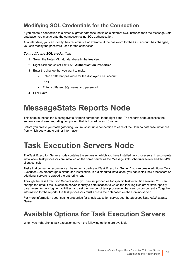### **Modifying SQL Credentials for the Connection**

If you create a connection to a Notes Migrator database that is on a different SQL instance than the MessageStats database, you must create the connection using SQL authentication.

At a later date, you can modify the credentials. For example, if the password for the SQL account has changed, you can modify the password used for the connection.

#### *To modify the SQL credentials*

- 1 Select the Notes Migrator database in the treeview.
- 2 Right-click and select **Edit SQL Authentication Properties**.
- 3 Enter the change that you want to make:
	- **▪** Enter a different password for the displayed SQL account.
		- OR-
	- **▪** Enter a different SQL name and password.
- 4 Click **Save**.

## <span id="page-17-0"></span>**MessageStats Reports Node**

This node launches the MessageStats Reports component in the right pane. The reports node accesses the separate web-based reporting component that is hosted on an IIS server.

Before you create your task gathering, you must set up a connection to each of the Domino database instances from which you want to gather information.

## <span id="page-17-1"></span>**Task Execution Servers Node**

The Task Execution Servers node contains the servers on which you have installed task processors. In a complete installation, task processors are installed on the same server as the MessageStats scheduler server and the MMC client console.

Tasks that consume resources can be run on a dedicated Task Execution Server. You can create additional Task Execution Servers through a distributed installation. In a distributed installation, you can install task processors on additional servers to spread the gathering load.

Through the Task Execution Servers node, you can set properties for specific task execution servers. You can change the default task execution server, identify a path location to which the task log files are written, specify parameters for task logging activities, and set the number of task processors that can run concurrently. To gather information for the reports, the task processors must access the databases on the Domino server.

For more information about setting properties for a task execution server, see the *MessageStats Administrator Guide*.

### <span id="page-17-2"></span>**Available Options for Task Execution Servers**

When you right-click a task execution server, the following options are available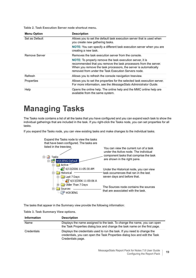**Table 2. Task Execution Server node shortcut menu.**

| <b>Menu Option</b> | <b>Description</b>                                                                                                                                                                                                                                              |
|--------------------|-----------------------------------------------------------------------------------------------------------------------------------------------------------------------------------------------------------------------------------------------------------------|
| Set as Default     | Allows you to set the default task execution server that is used when<br>you create new gathering tasks.                                                                                                                                                        |
|                    | <b>NOTE:</b> You can specify a different task execution server when you are<br>creating a new task.                                                                                                                                                             |
| Remove Server      | Removes the task execution server from the console.                                                                                                                                                                                                             |
|                    | <b>NOTE:</b> To properly remove the task execution server, it is<br>recommended that you remove the task processors from the server.<br>When you remove the task processors, the server is automatically<br>removed from under the Task Execution Servers node. |
| Refresh            | Allows you to refresh the console navigation treeview.                                                                                                                                                                                                          |
| Properties         | Allows you to set the properties for the selected task execution server.<br>For more information, see the Message Stats Administrator Guide.                                                                                                                    |
| Help               | Opens the online help. The online help and the MMC online help are<br>available from the same system.                                                                                                                                                           |

## <span id="page-18-0"></span>**Managing Tasks**

The Tasks node contains a list of all the tasks that you have configured and you can expand each task to show the individual gatherings that are included in the task. If you right-click the Tasks node, you can set properties for all tasks.

If you expand the Tasks node, you can view existing tasks and make changes to the individual tasks.



The tasks that appear in the Summary view provide the following information:

|  |  | Table 3. Task Summary View options. |  |  |
|--|--|-------------------------------------|--|--|
|--|--|-------------------------------------|--|--|

| <b>Information</b> | <b>Description</b>                                                                                                                                                          |
|--------------------|-----------------------------------------------------------------------------------------------------------------------------------------------------------------------------|
| Name               | Displays the name assigned to the task. To change the name, you can open<br>the Task Properties dialog box and change the task name on the first page.                      |
| Credentials        | Displays the credentials used to run the task. If you need to change the<br>credentials, you can open the Task Properties dialog box and edit the Task<br>Credentials page. |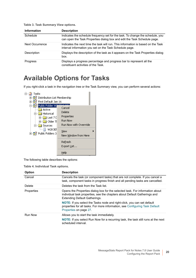| <b>Information</b>                  | <b>Description</b> |  |
|-------------------------------------|--------------------|--|
| Table 3. Task Summary View options. |                    |  |

| Schedule        | Indicates the schedule frequency set for the task. To change the schedule, you<br>can open the Task Properties dialog box and edit the Task Schedule page. |
|-----------------|------------------------------------------------------------------------------------------------------------------------------------------------------------|
| Next Occurrence | Indicates the next time the task will run. This information is based on the Task<br>interval information you set on the Task Schedule page.                |
| Description     | Displays the description of the task as it appears on the Task Properties dialog<br>box.                                                                   |
| <b>Progress</b> | Displays a progress percentage and progress bar to represent all the<br>constituent activities of the Task.                                                |

## <span id="page-19-0"></span>**Available Options for Tasks**

If you right-click a task in the navigation tree or the Task Summary view, you can perform several actions:



The following table describes the options:

**Table 4. Individual Task options.**

| Option         | <b>Description</b>                                                                                                                                                                         |
|----------------|--------------------------------------------------------------------------------------------------------------------------------------------------------------------------------------------|
| Cancel         | Cancels the task (or component tasks) that are not complete. If you cancel a<br>task, component tasks in progress finish and all pending tasks are cancelled.                              |
| Delete         | Deletes the task from the Task list.                                                                                                                                                       |
| Properties     | Opens the Properties dialog box for the selected task. For information about<br>individual task properties, see the chapters about Default Gatherings and<br>Extending Default Gatherings. |
|                | <b>NOTE:</b> If you select the Tasks node and right-click, you can set default<br>properties for all tasks. For more information, see Configuring Task Default<br>Properties on page 27.   |
| <b>Run Now</b> | Allows you to start the task immediately.<br>NOTE: If you select Run Now for a recurring task, the task still runs at the next<br>scheduled interval.                                      |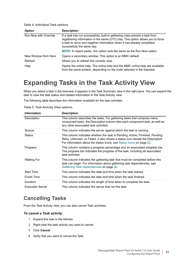**Table 4. Individual Task options.**

| <b>Option</b>                | <b>Description</b>                                                                                                                                                                                                                                                     |  |
|------------------------------|------------------------------------------------------------------------------------------------------------------------------------------------------------------------------------------------------------------------------------------------------------------------|--|
| <b>Run Now with Override</b> | If a task has run successfully, built-in gathering rules prevent a task from<br>regathering information in the same (UTC) day. This option allows you to force<br>a task to rerun and regather information when it has already completed<br>successfully the same day. |  |
|                              | NOTE: In report packs, this option acts the same as the Run Now option.                                                                                                                                                                                                |  |
| New Window from Here         | Opens a secondary window. This option is an MMC default.                                                                                                                                                                                                               |  |
| Refresh                      | Allows you to refresh the console view.                                                                                                                                                                                                                                |  |
| Help                         | Opens the online help. The online help and the MMC online help are available<br>from the same system, depending on the node selected in the treeview.                                                                                                                  |  |

## <span id="page-20-0"></span>**Expanding Tasks in the Task Activity View**

When you select a task in the treeview, it appears in the Task Summary view in the right pane. You can expand the task to view the task status and related information in the Task Activity view.

The following table describes the information available for the task activities.

**Table 5. Task Activity View options.**

| <b>Information</b>      | <b>Description</b>                                                                                                                                                                                                                     |
|-------------------------|----------------------------------------------------------------------------------------------------------------------------------------------------------------------------------------------------------------------------------------|
| Description             | This column describes the tasks. For gathering tasks that comprise many<br>component tasks, the Description column lists each component task, as well as<br>any other associated task activities.                                      |
| Source                  | This column indicates the server against which the task is running.                                                                                                                                                                    |
| <b>Status</b>           | This column indicates whether the task is Pending, Active, Finished, Pending<br>Retry, Unknown, or Failed. It also shows a status icon beside the Description.<br>For information about the status icons, see Status Icons on page 22. |
| <b>Progress</b>         | This column contains a progress percentage and an associated progress bar.<br>The progress bar indicates the progress of the task, including all associated<br>task activities.                                                        |
| Waiting For             | This column indicates the gathering task that must be completed before this<br>task can begin. For information about gathering task dependencies, see<br>Gathering Task Dependencies on page 36.                                       |
| <b>Start Time</b>       | This column indicates the date and time when the task started.                                                                                                                                                                         |
| Finish Time             | This column indicates the date and time when the task finished.                                                                                                                                                                        |
| Duration                | This column indicates the length of time taken to complete the task.                                                                                                                                                                   |
| <b>Execution Server</b> | This column indicates the server that ran the task.                                                                                                                                                                                    |

### **Cancelling Tasks**

From the Task Activity view, you can also cancel Task activities.

#### *To cancel a Task activity*

- 1 Expand the task in the listview.
- 2 Right-click the task activity you want to cancel.
- 3 Click **Cancel**.
- 4 Verify that you want to cancel the Task.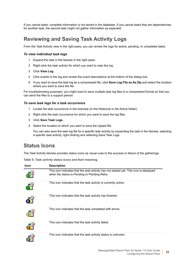If you cancel tasks, complete information is not stored in the database. If you cancel tasks that are dependencies for another task, the second task might not gather information as expected.

### **Reviewing and Saving Task Activity Logs**

From the Task Activity view in the right pane, you can review the logs for active, pending, or completed tasks.

#### *To view individual task logs*

- 1 Expand the task in the listview in the right pane.
- 2 Right-click the task activity for which you want to view the log.
- 3 Click **View Log**.
- 4 Click events in the log and review the event descriptions at the bottom of the dialog box.
- 5 If you want to save the task log as a compressed file, click **Save Log File as As Zip** and select the location where you want to save the file.

For troubleshooting purposes, you might want to save multiple task log files to a compressed format so that you can send the files to a support person.

#### *To save task logs for a task occurrence*

- 1 Locate the task occurrence in the treeview (in the Historical or the Active folder).
- 2 Right-click the task occurrence for which you want to save the log files.
- 3 Click **Save Task Logs**.
- 4 Select the location to which you want to save the zipped file.

You can also save the task log file for a specific task activity by expanding the task in the listview, selecting a specific task activity, right-clicking and selecting Save Task Logs.

#### <span id="page-21-0"></span>**Status Icons**

The Task Activity listview provides status icons as visual cues to the success or failure of the gatherings:

**Table 6. Task activity status icons and their meaning.**

| <b>Icon</b> | <b>Description</b>                                                                                                                     |
|-------------|----------------------------------------------------------------------------------------------------------------------------------------|
|             | This icon indicates that the task activity has not started yet. This icon is displayed<br>when the status is Pending or Pending Retry. |
|             | This icon indicates that the task activity is currently active.                                                                        |
|             | This icon indicates that the task activity has finished.                                                                               |
|             | This icon indicates that the task completed with errors.                                                                               |
|             | This icon indicates that the task activity failed.                                                                                     |
|             | This icon indicates that the task activity status is unknown.                                                                          |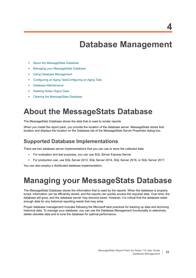# <span id="page-22-3"></span>**Database Management**

- <span id="page-22-0"></span>**•** [About the MessageStats Database](#page-22-1)
- **•** [Managing your MessageStats Database](#page-22-2)
- **•** [Using Database Management](#page-23-0)
- **•** [Configuring an Aging TaskConfiguring an Aging Task](#page-23-1)
- **•** [Database Maintenance](#page-24-0)
- **•** [Deleting Notes Object Data](#page-24-1)
- **•** [Clearing the MessageStats Database](#page-25-0)

## <span id="page-22-1"></span>**About the MessageStats Database**

The MessageStats Database stores the data that is used to render reports.

When you install the report pack, you provide the location of the database server. MessageStats stores that location and displays the location on the Database tab of the MessageStats Server Properties dialog box.

#### **Supported Database Implementations**

There are two database server implementations that you can use to store the collected data:

- **•** For evaluation and test purposes, you can use SQL Server Express.Server
- **•** For production use, use SQL Server 2012, SQL Server 2014, SQL Server 2016, or SQL Server 2017,

You can also employ a distributed database implementation.

## <span id="page-22-2"></span>**Managing your MessageStats Database**

The MessageStats Database stores the information that is used by the reports. When the database is properly tuned, information can be efficiently stored, and the reports can quickly access the required data. Over time, the database will grow, and the database server may become taxed. However, it is critical that the database retain enough data for any historical reporting needs that may arise.

Proper database management includes following the Microsoft best practices for backing up data and archiving historical data. To manage your database, you can use the Database Management functionality to selectively delete obsolete data and to tune the database for optimal performance.

**4**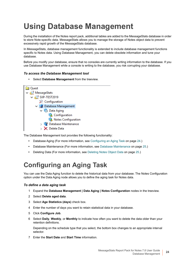# <span id="page-23-0"></span>**Using Database Management**

During the installation of the Notes report pack, additional tables are added to the MessageStats database in order to store Note-specific data. MessageStats allows you to manage the storage of Notes object data to prevent excessively rapid growth of the MessageStats database.

In MessageStats, database management functionality is extended to include database management functions specific to Notes data. Using Database Management, you can delete obsolete information and tune your database.

Before you modify your database, ensure that no consoles are currently writing information to the database. If you use Database Management while a console is writing to the database, you risk corrupting your database.

#### *To access the Database Management tool*

**•** Select **Database Management** from the treeview.



The Database Management tool provides the following functionality:

- **•** Database Aging (For more information, see [Configuring an Aging Task on page 24.](#page-23-1))
- **•** Database Maintenance (For more information, see [Database Maintenance on page 25.](#page-24-0))
- **•** Deleting Data (For more information, see [Deleting Notes Object Data on page 25](#page-24-1).)

## <span id="page-23-1"></span>**Configuring an Aging Task**

You can use the Data Aging function to delete the historical data from your database. The Notes Configuration option under the Data Aging node allows you to define the aging task for Notes data.

#### *To define a data aging task*

- 1 Expand the **Database Management | Data Aging | Notes Configuration** nodes in the treeview.
- 2 Select **Delete aged data**.
- 3 Select **Age Statistics (days)** check box.
- 4 Enter the number of days you want to retain statistical data in your database.
- 5 Click **Configure Job**.
- 6 Select **Daily**, **Weekly**, or **Monthly** to indicate how often you want to delete the data older than your retention definitions.

Depending on the schedule type that you select, the bottom box changes to an appropriate interval selector.

7 Enter the **Start Date** and **Start Time** information.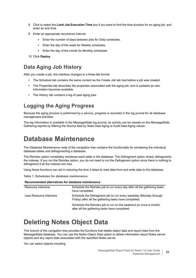- 8 Click to select the **Limit Job Execution Time** box if you want to limit the time duration for an aging job, and enter an end time.
- 9 Enter an appropriate recurrence interval:
	- **▪** Enter the number of days between jobs for Daily schedules.
	- **▪** Enter the day of the week for Weekly schedules.
	- **▪** Enter the day of the month for Monthly schedules.
- 10 Click **Deploy**.

#### **Data Aging Job History**

After you create a job, the interface changes to a three-tab format:

- **•** The Schedule tab contains the same content as the Create Job tab had before a job was created.
- **•** The Properties tab describes the properties associated with the aging job, and is updated as new information becomes available.
- **•** The History tab contains a log of past aging jobs

### **Logging the Aging Progress**

Because the aging process is performed by a service, progress is recorded in the log journal for all database management activities.

The log information is available in the MessageStats log journal, so activity can be viewed on the MessageStats Gathering reports by filtering the Source field by Stats Data Aging or Audit Data Aging values.

## <span id="page-24-0"></span>**Database Maintenance**

The Database Maintenance node of the navigation tree contains the functionality for reindexing the individual database tables and defragmenting a database.

The Reindex option completely reindexes each table in the database. The Defragment option simply defragments the indexes. If you run the Reindex option, you do not need to run the Defragment option since there is nothing to defragment if all the indexes are new.

Using these functions can aid in reducing the time it takes to read data from and write data to the database:

**Table 1. Schedules for database maintenance.**

| Recommended alternatives for database maintenance |                                                                                                                           |
|---------------------------------------------------|---------------------------------------------------------------------------------------------------------------------------|
| Resource Intensive                                | Schedule the Reindex job to run every day after all the gathering tasks<br>have completed.                                |
| Less Resource Intensive                           | Schedule the Defragment job to run every weekday (Monday through<br>Friday) after all the gathering tasks have completed. |
|                                                   | Schedule the Reindex job to run on the weekend (or once a month)<br>after all the gathering tasks have completed.         |

#### **Recommended alternatives for database maintenance**

## <span id="page-24-1"></span>**Deleting Notes Object Data**

This branch of the navigation tree provides the functions that delete object data and report data from the MessageStats database. You can use the Notes Object Data option to delete information about Notes server objects and any report data associated with the specified Notes server.

You can select objects including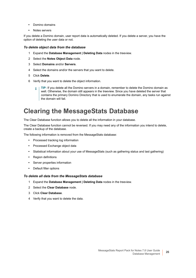- **•** Domino domains
- **•** Notes servers

If you delete a Domino domain, user report data is automatically deleted. If you delete a server, you have the option of deleting the user data or not.

#### *To delete object data from the database*

- 1 Expand the **Database Management | Deleting Data** nodes in the treeview.
- 2 Select the **Notes Object Data** node.
- 3 Select **Domains** and/or **Servers**.
- 4 Select the domains and/or the servers that you want to delete.
- 5 Click **Delete**.
- 6 Verify that you want to delete the object information.
	- **TIP:** If you delete all the Domino servers in a domain, remember to delete the Domino domain as ÷ well. Otherwise, the domain still appears in the treeview. Since you have deleted the server that contains the primary Domino Directory that is used to enumerate the domain, any tasks run against the domain will fail.

### <span id="page-25-0"></span>**Clearing the MessageStats Database**

The Clear Database function allows you to delete all the information in your database.

The Clear Database function cannot be reversed. If you may need any of the information you intend to delete, create a backup of the database.

The following information is removed from the MessageStats database:

- **•** Processed tracking log information
- **•** Processed Exchange object data
- **•** Statistical information about your use of MessageStats (such as gathering status and last gathering)
- **•** Region definitions
- **•** Server properties information
- **•** Default filter options

#### *To delete all data from the MessageStats database*

- 1 Expand the **Database Management | Deleting Data** nodes in the treeview.
- 2 Select the **Clear Database** node.
- 3 Click **Clear Database**.
- 4 Verify that you want to delete the data.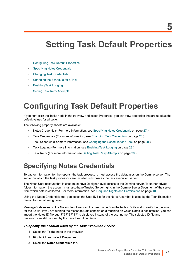# <span id="page-26-0"></span>**Setting Task Default Properties**

- **•** [Configuring Task Default Properties](#page-26-1)
- **•** [Specifying Notes Credentials](#page-26-2)
- **•** [Changing Task Credentials](#page-27-0)
- **•** [Changing the Schedule for a Task](#page-27-1)
- **•** [Enabling Task Logging](#page-27-2)
- **•** [Setting Task Retry Attempts](#page-28-0)

# <span id="page-26-4"></span><span id="page-26-1"></span>**Configuring Task Default Properties**

If you right-click the Tasks node in the treeview and select Properties, you can view properties that are used as the default values for all tasks.

The following property sheets are available:

- **•** Notes Credentials (For more information, see [Specifying Notes Credentials on page 27.](#page-26-2))
- **•** Task Credentials (For more information, see [Changing Task Credentials on page 28.](#page-27-0))
- **•** Task Schedule (For more information, see [Changing the Schedule for a Task on page 28](#page-27-1).)
- **•** Task Logging (For more information, see [Enabling Task Logging on page 28](#page-27-2).)
- **•** Task Retry (For more information see [Setting Task Retry Attempts on page 29](#page-28-0).)

## <span id="page-26-3"></span><span id="page-26-2"></span>**Specifying Notes Credentials**

To gather information for the reports, the task processors must access the databases on the Domino server. The server on which the task processors are installed is known as the task execution server.

The Notes User account that is used must have Designer-level access to the Domino server. To gather private folder information, the account must also have Trusted Server rights in the Domino Server Document of the server from which data is collected. For more information, see [Required Rights and Permissions on page 10.](#page-9-4)

Using the Notes Credentials tab, you select the User ID file for the Notes User that is used by the Task Execution Server to run gathering tasks.

MessageStats relies on the Notes client to extract the user name from the Notes ID file and to verify the password for the ID file. If you are running the MessageStats console on a machine on which Notes is not installed, you can import the Notes ID file but "??????????" is displayed instead of the user name. The selected ID file and password can still be used by the Task Execution Server.

#### *To specify the account used by the Task Execution Server*

- 1 Select the **Tasks** node in the treeview.
- 2 Right-click and select **Properties**.
- 3 Select the **Notes Credentials** tab.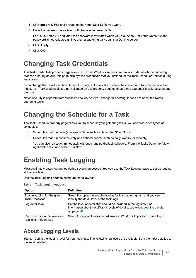- 4 Click **Import ID File** and browse to the Notes User ID file you want.
- 5 Enter the password associated with the selected user ID file.

For Lotus Notes 7.0 and later, the password is validated when you click Apply. For Lotus Notes 6.0, the password is not validated until you run a gathering task against a Domino server.

- 6 Click **Apply**.
- 7 Click **OK**.

## <span id="page-27-0"></span>**Changing Task Credentials**

The Task Credentials property page allows you to set Windows security credentials under which the gathering process runs. By default, this page displays the credentials that you defined for the Task Scheduler Service during installation.

If you change the Task Execution Server, this page automatically displays the credentials that you identified for that server. Task credentials are not validated on this property page so ensure that you enter a valid account and password.

Notes security is separate from Windows security so if you change this setting, it does **not** affect the Notes gathering tasks.

## <span id="page-27-1"></span>**Changing the Schedule for a Task**

The Task Schedule property page allows you to schedule your gathering tasks. You can create two types of schedules:

- **•** Schedules that run once (at a specific time such as December 31 or Now)
- **•** Schedules that run consecutively at a defined period (such as daily, weekly, or monthly)

You can also run tasks immediately without changing the task schedule. From the Tasks Summary View, right-click a task and select Run Now.

## <span id="page-27-4"></span><span id="page-27-2"></span>**Enabling Task Logging**

MessageStats creates log entries during several processes. You can use the Task Logging page to set up logging at the task level.

Use the Task Logging page to configure the following:

**Table 1. Task logging options.**

| Option                                                       | <b>Definition</b>                                                                                                                                                   |
|--------------------------------------------------------------|---------------------------------------------------------------------------------------------------------------------------------------------------------------------|
| Enable logging for the given<br><b>Task Processor</b>        | Select this option to enable logging for this gathering task and you can<br>identify the detail level of the task logs.                                             |
| Log detail level                                             | Set the level of detail that should be included in the log files. For<br>information about the different levels of details, see About Logging Levels<br>on page 28. |
| Record errors in the Windows<br><b>Application Event Log</b> | Select this option to also record errors in Windows Application Event logs.                                                                                         |

### <span id="page-27-3"></span>**About Logging Levels**

You can define the logging level for your task logs. The following log levels are available, from the most detailed to the least detailed: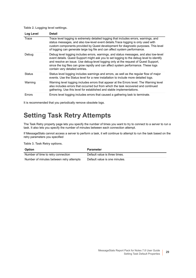#### **Table 2. Logging level settings.**

| Log Level     | <b>Detail</b>                                                                                                                                                                                                                                                                                                                                                                                     |
|---------------|---------------------------------------------------------------------------------------------------------------------------------------------------------------------------------------------------------------------------------------------------------------------------------------------------------------------------------------------------------------------------------------------------|
| Trace         | Trace level logging is extremely detailed logging that includes errors, warnings, and<br>status messages, and also low-level event details. Trace logging is only used with<br>custom components provided by Quest development for diagnostic purposes. This level<br>of logging can generate large log file and can affect system performance.                                                   |
| Debug         | Debug level logging includes errors, warnings, and status messages, and also low-level<br>event details. Quest Support might ask you to set logging to the debug level to identify<br>and resolve an issue. Use debug-level logging only at the request of Quest Support,<br>since the log files can grow rapidly and can affect system performance. These logs<br>contain very detailed entries. |
| <b>Status</b> | Status level logging includes warnings and errors, as well as the regular flow of major<br>events. Use the Status level for a new installation to include more detailed logs.                                                                                                                                                                                                                     |
| Warning       | Warning level logging includes errors that appear at the Errors level. The Warning level<br>also includes errors that occurred but from which the task recovered and continued<br>gathering. Use this level for established and stable implementations.                                                                                                                                           |
| Errors        | Errors level logging includes errors that caused a gathering task to terminate.                                                                                                                                                                                                                                                                                                                   |

It is recommended that you periodically remove obsolete logs.

### <span id="page-28-0"></span>**Setting Task Retry Attempts**

The Task Retry property page lets you specify the number of times you want to try to connect to a server to run a task. It also lets you specify the number of minutes between each connection attempt.

If MessageStats cannot access a server to perform a task, it will continue to attempt to run the task based on the retry parameters you specified

**Table 3. Task Retry options.**

| Option                                   | Parameter                     |
|------------------------------------------|-------------------------------|
| Number of time to retry connection       | Default value is three times. |
| Number of minutes between retry attempts | Default value is one minutes. |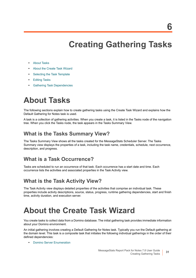# **Creating Gathering Tasks**

- <span id="page-30-0"></span>**•** [About Tasks](#page-30-1)
- **•** [About the Create Task Wizard](#page-30-2)
- **•** [Selecting the Task Template](#page-31-0)
- **•** [Editing Tasks](#page-35-0)
- **•** [Gathering Task Dependencies](#page-35-1)

# <span id="page-30-1"></span>**About Tasks**

The following sections explain how to create gathering tasks using the Create Task Wizard and explains how the Default Gathering for Notes task is used.

A task is a collection of gathering activities. When you create a task, it is listed in the Tasks node of the navigation tree. When you click the Tasks node, the task appears in the Tasks Summary View.

### **What is the Tasks Summary View?**

The Tasks Summary View shows all the tasks created for the MessageStats Scheduler Server. The Tasks Summary view displays the properties of a task, including the task name, credentials, schedule, next occurrence, description, and progress.

### **What is a Task Occurrence?**

Tasks are scheduled to run an occurrence of that task. Each occurrence has a start date and time. Each occurrence lists the activities and associated properties in the Task Activity view.

### **What is the Task Activity View?**

The Task Activity view displays detailed properties of the activities that comprise an individual task. These properties include activity descriptions, source, status, progress, runtime gathering dependencies, start and finish time, activity duration, and execution server.

# <span id="page-30-3"></span><span id="page-30-2"></span>**About the Create Task Wizard**

You create tasks to collect data from a Domino database. The initial gathering task provides immediate information about your Domino environment.

An initial gathering involves creating a Default Gathering for Notes task. Typically you run the Default gathering at the domain level. This task is a composite task that initiates the following individual gatherings in the order of their defined dependencies:

**•** [Domino Server Enumeration](#page-35-3)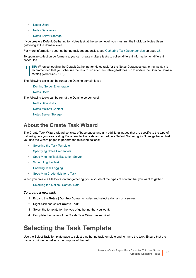- **•** [Notes Users](#page-36-0)
- **•** [Notes Databases](#page-36-1)
- **•** [Notes Server Storage](#page-36-3)

If you create a Default Gathering for Notes task at the server level, you must run the individual Notes Users gathering at the domain level.

For more information about gathering task dependencies, see [Gathering Task Dependencies on page 36](#page-35-1).

To optimize collection performance, you can create multiple tasks to collect different information on different schedules.

**TIP:** When scheduling the Default Gathering for Notes task (or the Notes Databases gathering task), it is ÷ recommended that you schedule the task to run after the Catalog task has run to update the Domino Domain catalog (CATALOG.NSF).

The following tasks can be run at the Domino domain level:

[Domino Server Enumeration](#page-35-3)

[Notes Users](#page-36-0)

The following tasks can be run at the Domino server level:

[Notes Databases](#page-36-1)

[Notes Mailbox Content](#page-36-2)

[Notes Server Storage](#page-36-3)

### **About the Create Task Wizard**

The Create Task Wizard wizard consists of base pages and any additional pages that are specific to the type of gathering task you are creating. For example, to create and schedule a Default Gathering for Notes gathering task, you use the wizard pages to perform the following actions:

- **•** [Selecting the Task Template](#page-31-0)
- **•** [Specifying Notes Credentials](#page-32-0)
- **•** [Specifying the Task Execution Server](#page-33-0)
- **•** [Scheduling the Task](#page-33-1)
- **•** [Enabling Task Logging](#page-34-0)
- **•** [Specifying Credentials for a Task](#page-34-1)

When you create a Mailbox Content gathering, you also select the types of content that you want to gather:

**•** [Selecting the Mailbox Content Data](#page-32-1)

#### *To create a new task*

- 1 Expand the **Notes | Domino Domains** nodes and select a domain or a server.
- 2 Right-click and select **Create Task**.
- 3 Select the template for the type of gathering that you want.
- 4 Complete the pages of the Create Task Wizard as required.

## <span id="page-31-0"></span>**Selecting the Task Template**

Use the Select Task Template page to select a gathering task template and to name the task. Ensure that the name is unique but reflects the purpose of the task.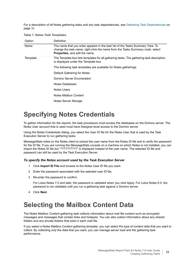For a description of all Notes gathering tasks and any task dependencies, see [Gathering Task Dependencies on](#page-35-1)  [page 36](#page-35-1).

**Table 1. Notes Task Templates.**

| Option   | Definition                                                                                                                                                                                                 |
|----------|------------------------------------------------------------------------------------------------------------------------------------------------------------------------------------------------------------|
| Name     | The name that you enter appears in the task list of the Tasks Summary View. To<br>change the task name, right-click the name from the Tasks Summary node, select<br><b>Properties</b> , and edit the name. |
| Template | The Template box lists templates for all gathering tasks. The gathering task description<br>is displayed under the Template box.                                                                           |
|          | The following task templates are available for Notes gatherings:                                                                                                                                           |
|          | Default Gathering for Notes                                                                                                                                                                                |
|          | Domino Server Enumeration                                                                                                                                                                                  |
|          | Notes Databases                                                                                                                                                                                            |
|          | Notes Users                                                                                                                                                                                                |
|          | Notes Mailbox Content                                                                                                                                                                                      |
|          | Notes Server Storage                                                                                                                                                                                       |

## <span id="page-32-0"></span>**Specifying Notes Credentials**

To gather information for the reports, the task processors must access the databases on the Domino server. The Notes User account that is used must have Designer-level access to the Domino server.

Using the Notes Credentials dialog, you select the User ID file for the Notes User that is used by the Task Execution Server to run gathering tasks.

MessageStats relies on the Notes client to extract the user name from the Notes ID file and to verify the password for the ID file. If you are running the MessageStats console on a machine on which Notes is not installed, you can import the Notes ID file but "??????????" is displayed instead of the user name. The selected ID file and password can still be used by the Task Execution Server.

#### *To specify the Notes account used by the Task Execution Server*

- 1 Click **Import ID File** and browse to the Notes User ID file you want.
- 2 Enter the password associated with the selected user ID file.
- 3 Re-enter the password to confirm.

For Lotus Notes 7.0 and later, the password is validated when you click Apply. For Lotus Notes 6.0, the password is not validated until you run a gathering task against a Domino server.

4 Click **Next**.

### <span id="page-32-1"></span>**Selecting the Mailbox Content Data**

The Notes Mailbox Content gathering task collects information about mail file content such as encrypted messages and messages that contain links and hotspots. You can also collect information about any shared folders and any private folders that exist in each mail file.

If you select a Notes Mailbox Content gathering template, you can select the type of content data that you want to collect. By collecting only the data that you want, you can manage server load and the gathering task performance.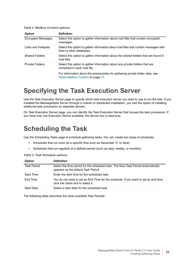**Table 2. Mailbox Content options.**

| <b>Option</b>             | <b>Definition</b>                                                                                                   |
|---------------------------|---------------------------------------------------------------------------------------------------------------------|
| <b>Encrypted Messages</b> | Select this option to gather information about mail files that contain encrypted<br>messages.                       |
| Links and Hotspots        | Select this option to gather information about mail files that contain messages with<br>links to other databases.   |
| <b>Shared Folders</b>     | Select this option to gather information about the shared folders that are found in<br>mail files.                  |
| <b>Private Folders</b>    | Select this option to gather information about any private folders that are<br>contained in each mail file.         |
|                           | For information about the prerequisites for gathering private folder data, see<br>Notes Mailbox Content on page 37. |

### <span id="page-33-0"></span>**Specifying the Task Execution Server**

Use the Task Execution Server page to specify which task execution server you want to use to run the task. If you installed the MessageStats Server through a custom or distributed installation, you had the option of installing additional task processors on separate servers.

On Task Execution Server page, you can identify the Task Execution Server that houses the task processors. If you have only one Execution Server available, the Server box is read-only.

## <span id="page-33-1"></span>**Scheduling the Task**

Use the Scheduling Tasks page to schedule gathering tasks. You can create two types of schedules:

- **•** Schedules that run once (at a specific time such as December 31 or Now)
- **•** Schedules that run regularly at a defined period (such as daily, weekly, or monthly).

**Table 3. Task Schedule options.**

| <b>Option</b>      | <b>Definition</b>                                                                                                         |
|--------------------|---------------------------------------------------------------------------------------------------------------------------|
| <b>Task Period</b> | Select the time period for the scheduled task. The Now Task Period automatically<br>appears as the default Task Period.   |
| <b>Start Time</b>  | Enter the start time for the scheduled task.                                                                              |
| Fnd Time           | You do not need to set an End Time for the schedule. If you want to set an end time,<br>click the check box to select it. |
| <b>Start Date</b>  | Select a start date for the scheduled task.                                                                               |

The following table describes the other available Task Periods: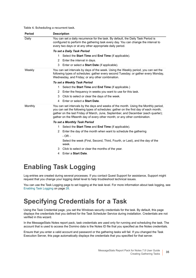**Table 4. Scheduling a recurrent task.**

| Daily   | You can set a daily recurrence for the task. By default, the Daily Task Period is                                                                                                                                                                                                                                                               |
|---------|-------------------------------------------------------------------------------------------------------------------------------------------------------------------------------------------------------------------------------------------------------------------------------------------------------------------------------------------------|
|         | configured to perform the gathering task every day. You can change the interval to<br>every two days or at any other appropriate daily period.                                                                                                                                                                                                  |
|         | To set a Daily Task Period                                                                                                                                                                                                                                                                                                                      |
|         | 1.<br>Select the <b>Start Time</b> and <b>End Time</b> (if applicable).                                                                                                                                                                                                                                                                         |
|         | Enter the interval in days.<br>2                                                                                                                                                                                                                                                                                                                |
|         | Enter or select a <b>Start Date</b> (if applicable).<br>3                                                                                                                                                                                                                                                                                       |
| Weekly  | You can set intervals by days of the week. Using the Weekly period, you can set the<br>following types of schedules: gather every second Tuesday; or gather every Monday,<br>Wednesday, and Friday; or any other combination.                                                                                                                   |
|         | To set a Weekly Task Period                                                                                                                                                                                                                                                                                                                     |
|         | Select the Start Time and End Time (if applicable.)<br>1.                                                                                                                                                                                                                                                                                       |
|         | Enter the frequency in weeks you want to use for this task.<br>2                                                                                                                                                                                                                                                                                |
|         | 3<br>Click to select or clear the days of the week.                                                                                                                                                                                                                                                                                             |
|         | Enter or select a <b>Start Date</b> .<br>4                                                                                                                                                                                                                                                                                                      |
| Monthly | You can set intervals by the days and weeks of the month. Using the Monthly period,<br>you can set the following types of schedules: gather on the first day of each month;<br>gather on the last Friday of March, June, September, and December (each quarter);<br>gather on the fifteenth day of every other month; or any other combination. |
|         | To set a Monthly Task Period                                                                                                                                                                                                                                                                                                                    |
|         | Select the Start Time and End Time (if applicable).<br>1.                                                                                                                                                                                                                                                                                       |
|         | Enter the day of the month when want to schedule the gathering<br>2                                                                                                                                                                                                                                                                             |
|         | $-OR -$                                                                                                                                                                                                                                                                                                                                         |
|         | Select the week (First, Second, Third, Fourth, or Last), and the day of the<br>week.                                                                                                                                                                                                                                                            |
|         | Click to select or clear the months of the year.<br>3                                                                                                                                                                                                                                                                                           |
|         | Enter a Start Date.<br>4                                                                                                                                                                                                                                                                                                                        |

## <span id="page-34-0"></span>**Enabling Task Logging**

Log entries are created during several processes. If you contact Quest Support for assistance, Support might request that you change your logging detail level to help troubleshoot technical issues.

You can use the Task Logging page to set logging at the task level. For more information about task logging, see [Enabling Task Logging on page 28.](#page-27-4)

## <span id="page-34-1"></span>**Specifying Credentials for a Task**

Using the Task Credential page, you set the Windows security credentials for the task. By default, this page displays the credentials that you defined for the Task Scheduler Service during installation. Credentials are not verified in this wizard.

In the MessageStats Notes report pack, task credentials are used only for running and scheduling the task. The account that is used to access the Domino data is the Notes ID file that you specified as the Notes credentials.

Ensure that you enter a valid account and password or the gathering tasks will fail. If you changed the Task Execution Server, this page automatically displays the credentials that you specified for that server.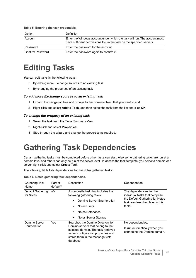#### **Table 5. Entering the task credentials.**

| Option           | <b>Definition</b>                                                                                                                                  |
|------------------|----------------------------------------------------------------------------------------------------------------------------------------------------|
| Account          | Enter the Windows account under which the task will run. The account must<br>have sufficient permissions to run the task on the specified servers. |
| Password         | Enter the password for the account.                                                                                                                |
| Confirm Password | Enter the password again to confirm it.                                                                                                            |

## <span id="page-35-0"></span>**Editing Tasks**

You can edit tasks in the following ways:

- **•** By adding more Exchange sources to an existing task
- **•** By changing the properties of an existing task

#### *To add more Exchange sources to an existing task*

- 1 Expand the navigation tree and browse to the Domino object that you want to add.
- 2 Right-click and select **Add to Task**, and then select the task from the list and click **OK**.

#### *To change the property of an existing task*

- 1 Select the task from the Tasks Summary View.
- 2 Right-click and select **Properties**.
- 3 Step through the wizard and change the properties as required.

## <span id="page-35-2"></span><span id="page-35-1"></span>**Gathering Task Dependencies**

Certain gathering tasks must be completed before other tasks can start. Also some gathering tasks are run at a domain level and others can only be run at the server level. To access the task template, you select a domain or a server, right-click and select **Create Task**.

The following table lists dependencies for the Notes gathering tasks:

**Table 6. Notes gathering task dependencies.**

<span id="page-35-3"></span>

| <b>Gathering Task</b><br>Name  | Part of<br>default? | Description                                                                                                                                                                                          | Dependent on                                                                                                                                |
|--------------------------------|---------------------|------------------------------------------------------------------------------------------------------------------------------------------------------------------------------------------------------|---------------------------------------------------------------------------------------------------------------------------------------------|
| Default Gathering<br>for Notes | n/a                 | A composite task that includes the<br>following gathering tasks:<br>Domino Server Fnumeration<br>Notes Users<br>Notes Databases<br>Notes Server Storage<br>$\bullet$                                 | The dependencies for the<br>individual tasks that comprise<br>the Default Gathering for Notes<br>task are described later in this<br>table. |
| Domino Server<br>Enumeration   | Yes                 | Searches the Domino Directory for<br>Domino servers that belong to the<br>selected domain. The task retrieves<br>server configuration properties and<br>stores them in the MessageStats<br>database. | No dependencies.<br>Is run automatically when you<br>connect to the Domino domain.                                                          |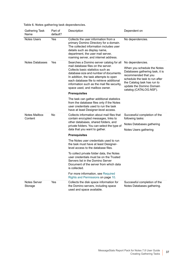**Table 6. Notes gathering task dependencies.**

| <b>Gathering Task</b><br>Name   | Part of<br>default? | Description                                                                                                                                                                                                                                         | Dependent on                                                                                                                                                                                                  |
|---------------------------------|---------------------|-----------------------------------------------------------------------------------------------------------------------------------------------------------------------------------------------------------------------------------------------------|---------------------------------------------------------------------------------------------------------------------------------------------------------------------------------------------------------------|
| <b>Notes Users</b>              | Yes                 | Collects the user information from a<br>primary Domino Directory for a domain.<br>The collected information includes user<br>details such as display name,<br>department, the user mail server,<br>roaming server, and internet address.            | No dependencies.                                                                                                                                                                                              |
| <b>Notes Databases</b>          | Yes                 | Searches a Domino server catalog for all<br>mail database files on the server.                                                                                                                                                                      | No dependencies.                                                                                                                                                                                              |
|                                 |                     | Collects basic statistics such as<br>database size and number of documents.<br>In addition, the task attempts to open<br>each database file to retrieve additional<br>information such as the mail file security,<br>space used, and mailbox owner. | When you schedule the Notes<br>Databases gathering task, it is<br>recommended that you<br>schedule the task to run after<br>the Catalog task has run to<br>update the Domino Domain<br>catalog (CATALOG.NSF). |
|                                 |                     | <b>Prerequisites</b>                                                                                                                                                                                                                                |                                                                                                                                                                                                               |
|                                 |                     | The task can gather additional statistics<br>from the database files only if the Notes<br>user credentials used to run the task<br>have at least Designer-level access.                                                                             |                                                                                                                                                                                                               |
| <b>Notes Mailbox</b><br>Content | No                  | Collects information about mail files that<br>contain encrypted messages, links to                                                                                                                                                                  | Successful completion of the<br>following tasks:                                                                                                                                                              |
|                                 |                     | other databases, shared folders, and<br>private folders. You can select the type of<br>data that you want to gather.                                                                                                                                | Notes Databases gathering<br>Notes Users gathering                                                                                                                                                            |
|                                 |                     | <b>Prerequisites</b>                                                                                                                                                                                                                                |                                                                                                                                                                                                               |
|                                 |                     | The Notes user credentials used to run<br>the task must have at least Designer-<br>level access to the database files.                                                                                                                              |                                                                                                                                                                                                               |
|                                 |                     | To collect private folder data, the Notes<br>user credentials must be on the Trusted<br>Servers list in the Domino Server<br>Document of the server from which data<br>is collected.                                                                |                                                                                                                                                                                                               |
|                                 |                     | For more information, see Required<br>Rights and Permissions on page 10.                                                                                                                                                                            |                                                                                                                                                                                                               |
| <b>Notes Server</b><br>Storage  | Yes                 | Collects the disk space information for<br>the Domino servers, including space<br>used and space available.                                                                                                                                         | Successful completion of the<br>Notes Databases gathering.                                                                                                                                                    |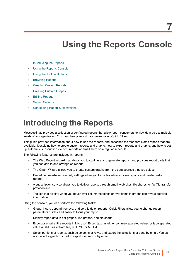# **Using the Reports Console**

- **•** [Introducing the Reports](#page-38-0)
- **•** [Using the Reports Console](#page-40-0)
- **•** [Using the Toolbar Buttons](#page-40-1)
- **•** [Browsing Reports](#page-43-0)
- **•** [Creating Custom Reports](#page-46-1)
- **•** [Creating Custom Graphs](#page-46-0)
- **•** [Editing Reports](#page-47-0)
- **•** [Setting Security](#page-51-0)
- **•** [Configuring Report Subscriptions](#page-52-0)

# <span id="page-38-0"></span>**Introducing the Reports**

MessageStats provides a collection of configured reports that allow report consumers to view data across multiple levels of an organization. You can change report parameters using Quick Filters.

This guide provides information about how to use the reports, and describes the standard Notes reports that are available. It explains how to create custom reports and graphs, how to export reports and graphs, and how to set up automatic subscriptions to post reports or email them on a regular schedule.

The following features are included in reports:

- **•** The Web Report Wizard that allows you to configure and generate reports, and provides report parts that you can add to and arrange on reports.
- **•** The Graph Wizard allows you to create custom graphs from the data sources that you select.
- **•** Predefined role-based security settings allow you to control who can view reports and create custom reports.
- **•** A subscription service allows you to deliver reports through email, web sites, file shares, or ftp (file transfer protocol) site.
- **•** Tooltips that display when you hover over column headings or over items in graphs can reveal detailed information.

Using the console, you can perform the following tasks:

- **•** Group, insert, append, remove, and sort fields on reports. Quick Filters allow you to change report parameters quickly and easily to focus your report.
- **•** Display report data in bar graphs, line graphs, and pie charts.
- **•** Export or email entire reports in Microsoft Excel, text (as either comma-separated values or tab-separated values), XML, as a Word file, in HTML, or MHTML.
- **•** Select portions of reports, such as columns or rows, and export the selections or send by email. You can also select a graph or chart to export it or send it by email.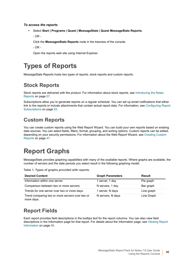#### *To access the reports*

**•** Select **Start | Programs | Quest | MessageStats | Quest MessageStats Reports**.

- OR -

Click the **MessagesStats Reports** node in the treeview of the console.

- OR -

<span id="page-39-1"></span>Open the reports web site using Internet Explorer.

## **Types of Reports**

MessageStats Reports hosts two types of reports: stock reports and custom reports.

### **Stock Reports**

Stock reports are delivered with the product. For information about stock reports, see [Introducing the Notes](#page-56-0)  [Reports on page 57.](#page-56-0)

Subscriptions allow you to generate reports on a regular schedule. You can set up email notifications that either link to the reports or include attachments that contain actual report data. For information, see [Configuring Report](#page-52-0)  [Subscriptions on page 53](#page-52-0).

### **Custom Reports**

You can create custom reports using the Web Report Wizard. You can build your own reports based on existing data sources. You can select fields, filters, format, grouping, and sorting options. Custom reports can be edited, depending on your security permissions. For information about the Web Report Wizard, see [Creating Custom](#page-46-1)  [Reports on page 47.](#page-46-1)

## **Report Graphs**

<span id="page-39-0"></span>MessageStats provides graphing capabilities with many of the available reports. Where graphs are available, the number of servers and the date periods you select result in the following graphing model:

**Table 1. Types of graphs provided with reports.**

| <b>Desired Content</b>                                        | <b>Graph Parameters</b> | <b>Result</b> |
|---------------------------------------------------------------|-------------------------|---------------|
| Information within one server.                                | 1 server, 1 day         | Pie graph     |
| Comparison between two or more servers.                       | N servers, 1 day        | Bar graph     |
| Trends for one server over two or more days.                  | 1 server, N days        | Line graph    |
| Trend comparing two or more servers over two or<br>more days. | N servers, N days       | Line Graph    |

### **Report Fields**

Each report provides field descriptions in the tooltips text for the report columns. You can also view field descriptions in the Information page for that report. For details about the Information page, see [Viewing Report](#page-45-0)  [Information on page 46](#page-45-0).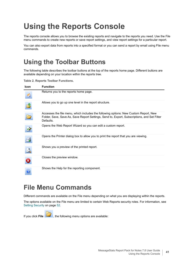# <span id="page-40-0"></span>**Using the Reports Console**

The reports console allows you to browse the existing reports and navigate to the reports you need. Use the File menu commands to create new reports or save report settings, and view report settings for a particular report.

You can also export data from reports into a specified format or you can send a report by email using File menu commands.

## <span id="page-40-1"></span>**Using the Toolbar Buttons**

<span id="page-40-2"></span>The following table describes the toolbar buttons at the top of the reports home page. Different buttons are available depending on your location within the reports tree.

**Table 2. Reports Toolbar Functions.**

| <b>Icon</b> | <b>Function</b>                                                                                                                                                                                  |
|-------------|--------------------------------------------------------------------------------------------------------------------------------------------------------------------------------------------------|
|             | Returns you to the reports home page.                                                                                                                                                            |
|             | Allows you to go up one level in the report structure.                                                                                                                                           |
|             | Accesses the file menu, which includes the following options: New Custom Report, New<br>Folder, Save, Save As, Save Report Settings, Send to, Export, Subscriptions, and Set Filter<br>Defaults. |
|             | Opens the Web Report Wizard so you can edit a custom report.                                                                                                                                     |
|             | Opens the Printer dialog box to allow you to print the report that you are viewing.                                                                                                              |
|             | Shows you a preview of the printed report.                                                                                                                                                       |
|             | Closes the preview window.                                                                                                                                                                       |
|             | Shows the Help for the reporting component.                                                                                                                                                      |

### **File Menu Commands**

<span id="page-40-3"></span>Different commands are available on the File menu depending on what you are displaying within the reports.

The options available on the File menu are limited to certain Web Reports security roles. For information, see [Setting Security on page 52](#page-51-0).

If you click File **EXT**, the following menu options are available: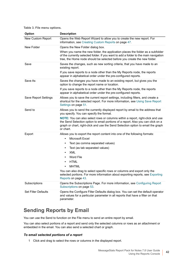**Table 3. File menu options.**

<span id="page-41-0"></span>

| Option                     | <b>Description</b>                                                                                                                                                                                                                                                  |  |
|----------------------------|---------------------------------------------------------------------------------------------------------------------------------------------------------------------------------------------------------------------------------------------------------------------|--|
| New Custom Report          | Opens the Web Report Wizard to allow you to create the new report. For<br>information, see Creating Custom Reports on page 47.                                                                                                                                      |  |
| New Folder                 | Opens the New Folder dialog box.                                                                                                                                                                                                                                    |  |
|                            | When you name the new folder, the application places the folder as a subfolder<br>of the currently selected folder. If you want to add a folder to the main navigation<br>tree, the Home node should be selected before you create the new folder.                  |  |
| Save                       | Saves the changes, such as new sorting criteria, that you have made to an<br>existing report.                                                                                                                                                                       |  |
|                            | If you save reports to a node other than the My Reports node, the reports<br>appear in alphabetical order under the pre-configured reports.                                                                                                                         |  |
| Save As                    | Saves the changes you have made to an existing report, but gives you the<br>option to change the report name or location.                                                                                                                                           |  |
|                            | If you save reports to a node other than the My Reports node, the reports<br>appear in alphabetical order under the pre-configured reports.                                                                                                                         |  |
| Save Report Settings       | Allows you to save the current report settings, including filters, and create a<br>shortcut for the selected report. For more information, see Using Save Report<br>Settings on page 51.                                                                            |  |
| Send to                    | Allows you to send the currently displayed report by email to the address that<br>you specify. You can specify the format.                                                                                                                                          |  |
|                            | NOTE: You can also select rows or columns within a report, right-click and use<br>the Send Selection option to email portions of a report. Also you can click on a<br>graph or chart, right-click and use the Send Selection option to email the graph<br>or chart. |  |
| Export                     | Allows you to export the report content into one of the following formats:<br>Microsoft Excel<br>$\bullet$                                                                                                                                                          |  |
|                            | Text (as comma separated values)<br>$\bullet$                                                                                                                                                                                                                       |  |
|                            | Text (as tab separated values)<br>$\bullet$                                                                                                                                                                                                                         |  |
|                            | <b>XML</b><br>$\bullet$                                                                                                                                                                                                                                             |  |
|                            | Word File<br>$\bullet$                                                                                                                                                                                                                                              |  |
|                            | <b>HTML</b><br>$\bullet$                                                                                                                                                                                                                                            |  |
|                            | <b>MHTML</b><br>You can also drag to select specific rows or columns and export only the                                                                                                                                                                            |  |
|                            | selected portions. For more information about exporting reports, see Exporting<br>Reports on page 43.                                                                                                                                                               |  |
| Subscriptions              | Opens the Subscriptions Page. For more information, see Configuring Report<br>Subscriptions on page 53.                                                                                                                                                             |  |
| <b>Set Filter Defaults</b> | Opens the Configure Filter Defaults dialog box. You can set the default operator<br>and values for a particular parameter in all reports that have a filter on that<br>parameter.                                                                                   |  |

### <span id="page-41-1"></span>**Sending Reports by Email**

You can use the Send to function on the File menu to send an entire report by email.

You can also select portions of a report and send only the selected columns or rows as an attachment or embedded in the email. You can also send a selected chart or graph.

#### *To email selected portions of a report*

1 Click and drag to select the rows or columns in the displayed report.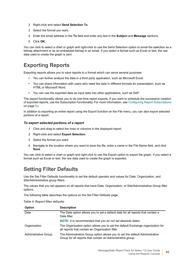- 2 Right-click and select **Send Selection To**.
- 3 Select the format you want.
- 4 Enter the email address in the **To** field and enter any text in the **Subject** and **Message** sections.
- <span id="page-42-1"></span>5 Click **OK**.

You can click to select a chart or graph and right-click to use the Send Selection option to email the selection as a bitmap attachment or as an embedded bitmap in an email. If you select a format such as Excel or text, the raw data used to create the graph is sent.

### <span id="page-42-0"></span>**Exporting Reports**

Exporting reports allows you to save reports to a format which can serve several purposes:

- **•** You can further analyze the data in a third party application, such as Microsoft Excel.
- **•** You can share information with users who need the data in different formats for presentation, such as HTML or Microsoft Word.
- **•** You can use the exported data as input data into other applications, such as SAP.

The export functionality allows you to do one-time report exports. If you want to schedule the successive creation of exported reports, use the Subscription functionality. For more information, see [Configuring Report Subscriptions](#page-52-0) [on page 53.](#page-52-0)

In addition to exporting an entire report using the Export function on the File menu, you can also export selected portions of a report.

#### *To export selected portions of a report*

- <span id="page-42-3"></span>1 Click and drag to select the rows or columns in the displayed report.
- 2 Right-click and select **Export Selection**.
- 3 Select the format you want.
- 4 Navigate to the location where you want to save the file, enter a name in the File Name field, and click **Save**.

You can click to select a chart or graph and right-click to use the Export option to export the graph. If you select a format such as Excel or text, the raw data used to create the graph is exported.

### **Setting Filter Defaults**

<span id="page-42-2"></span>Use the Set Filter Defaults functionality to set the default operator and values for Date, Organization, and Site/Administrative group filters.

The values that you set appears on all reports that have Date, Organization, or Site/Administrative Group filter options.

The following table describes the options on the Set Filter Defaults page

**Table 4. Report filter defaults**

| <b>Option</b>               | <b>Description</b>                                                                                                                          |
|-----------------------------|---------------------------------------------------------------------------------------------------------------------------------------------|
| Date                        | The Date option allows you to set a default date for all reports that contain a<br>Date filter.                                             |
|                             | <b>NOTE:</b> It is recommended that you do not set absolute dates.                                                                          |
| Organization                | The Organization option allows you to set the default Exchange organization for<br>all reports that contain an Organization filter.         |
| <b>Administrative Group</b> | The Administrative Group option allows you to set the default Administrative<br>Group for all reports that contain an Administrative group. |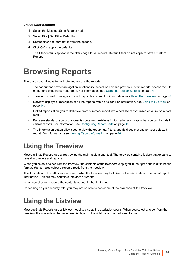#### *To set filter defaults*

- 1 Select the MessageStats Reports node.
- 2 Select **File | Set Filter Defaults**.
- 3 Set the filter and parameter from the options.
- 4 Click **OK** to apply the defaults.

The filter defaults appear in the filters page for all reports. Default filters do not apply to saved Custom Reports.

## <span id="page-43-0"></span>**Browsing Reports**

There are several ways to navigate and access the reports:

- **•** Toolbar buttons provide navigation functionality, as well as edit and preview custom reports, access the File menu, and print the current report. For information, see [Using the Toolbar Buttons on page 41](#page-40-1).
- **•** Treeview is used to navigate through report branches. For information, see [Using the Treeview on page 44.](#page-43-1)
- **•** Listview displays a description of all the reports within a folder. For information, see [Using the Listview on](#page-43-2)  [page 44](#page-43-2).
- **•** Linked reports allow you to drill down from summary report into a detailed report based on a link on a data result.
- **•** Parts are standard report components containing text-based information and graphs that you can include in certain reports. For information, see [Configuring Report Parts on page 45.](#page-44-0)
- **•** The Information button allows you to view the groupings, filters, and field descriptions for your selected report. For information, see [Viewing Report Information on page 46](#page-45-0).

### <span id="page-43-1"></span>**Using the Treeview**

MessageStats Reports use a treeview as the main navigational tool. The treeview contains folders that expand to reveal subfolders and reports.

When you select a folder from the treeview, the contents of the folder are displayed in the right pane in a file-based format. You can also select a report directly from the treeview.

The illustration to the left is an example of what the treeview may look like. Folders indicate a grouping of report information. Folders may contain subfolders or reports.

When you click on a report, the contents appear in the right pane.

Depending on your security role, you may not be able to see some of the branches of the treeview.

## <span id="page-43-2"></span>**Using the Listview**

MessageStats Reports use a listview model to display the available reports. When you select a folder from the treeview, the contents of the folder are displayed in the right pane in a file-based format.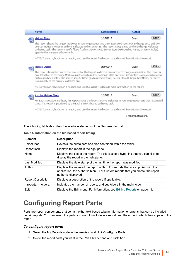| <b>Name</b>                                                                                                                                                                                                                                                                                                                                                                                                        | <b>Last Modified</b> | <b>Author</b>         |        |
|--------------------------------------------------------------------------------------------------------------------------------------------------------------------------------------------------------------------------------------------------------------------------------------------------------------------------------------------------------------------------------------------------------------------|----------------------|-----------------------|--------|
| Mailbox Sizes                                                                                                                                                                                                                                                                                                                                                                                                      | 2/27/2017            | Quest                 | Edit - |
| This report shows the largest mailboxes in your organization and their associated sizes. For Exchange 2010 and later,<br>you can include the size of archive mailboxes in the size totals. This report is populated by the Exchange Mailboxes<br>gathering task. The server-specific filters (such as Server/DAG, Server Store Distinguished Name, or Server Roles)<br>apply to the primary mailboxes only.        |                      |                       |        |
| NOTE: You can right-click on a heading and use the Insert Field option to add more information to the report.                                                                                                                                                                                                                                                                                                      |                      |                       |        |
| Mailbox Quotas                                                                                                                                                                                                                                                                                                                                                                                                     | 2/27/2017            | Quest                 | Edit - |
| This report shows the quotas that are set for the largest mailboxes across your Exchange organization. The report is<br>populated by the Exchange Mailboxes gathering task. For Exchange 2010 and later, information is also available about<br>archive mailbox quotas. The server-specific filters (such as Server/DAG, Server Store Distinguished Name, or Server<br>Roles) apply to the primary mailboxes only. |                      |                       |        |
| NOTE: You can right-click on a heading and use the Insert Field to add more information to the report.                                                                                                                                                                                                                                                                                                             |                      |                       |        |
| Archive Mailbox Sizes                                                                                                                                                                                                                                                                                                                                                                                              | 2/27/2017            | Quest                 | Edit - |
| For Exchange 2010 and later, this report shows the largest archive mailboxes in your organization and their associated<br>sizes. This report is populated by the Exchange Mailboxes gathering task.                                                                                                                                                                                                                |                      |                       |        |
| NOTE: You can right-click on a heading and use the Insert Field option to add more information to the report.                                                                                                                                                                                                                                                                                                      |                      |                       |        |
|                                                                                                                                                                                                                                                                                                                                                                                                                    |                      | 3 reports, 0 folders. |        |

The following table describes the interface elements of the file-based format:

| <b>Element</b>            | <b>Description</b>                                                                                                                                                                         |  |
|---------------------------|--------------------------------------------------------------------------------------------------------------------------------------------------------------------------------------------|--|
| Folder Icon               | Reveals the subfolders and files contained within the folder.                                                                                                                              |  |
| Report Icon               | Displays the report in the right pane.                                                                                                                                                     |  |
| Name                      | Displays the title of the report. The title is also a hyperlink that you can click to<br>display the report in the right pane.                                                             |  |
| Last Modified             | Displays the date stamp of the last time the report was modified.                                                                                                                          |  |
| Author                    | Displays the name of the report author. For reports that are supplied with the<br>application, the Author is blank. For Custom reports that you create, the report<br>author is displayed. |  |
| <b>Report Description</b> | Displays a description of the report, if applicable.                                                                                                                                       |  |
| n reports, n folders.     | Indicates the number of reports and subfolders in the main folder.                                                                                                                         |  |
| Edit                      | Displays the Edit menu. For information, see Editing Reports on page 48.                                                                                                                   |  |

**Table 5. Information on the file-based report listing.**

I

## <span id="page-44-0"></span>**Configuring Report Parts**

Parts are report components that contain either text-based tabular information or graphs that can be included in certain reports. You can select the parts you want to include in a report, and the order in which they appear in the report.

#### <span id="page-44-1"></span>*To configure report parts*

- 1 Select the My Reports node in the treeview, and click **Configure Parts**.
- 2 Select the report parts you want in the Part Library pane and click **Add**.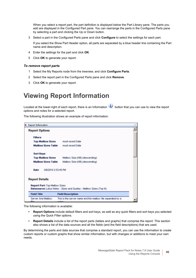When you select a report part, the part definition is displayed below the Part Library pane. The parts you add are displayed in the Configured Part pane. You can rearrange the parts in the Configured Parts pane by selecting a part and clicking the Up or Down button.

3 Select a part in the Configured Parts pane and click **Configure** to select the settings for each part.

If you select the Show Part Header option, all parts are separated by a blue header line containing the Part name and description.

- 4 Enter the settings for the part and click **OK**.
- <span id="page-45-1"></span>5 Click **OK** to generate your report.

#### *To remove report parts*

- 1 Select the My Reports node from the treeview, and click **Configure Parts**.
- 2 Select the report part in the Configured Parts pane and click **Remove**.
- <span id="page-45-2"></span>3 Click **OK** to generate your report.

### <span id="page-45-0"></span>**Viewing Report Information**

Located at the lower-right of each report, there is an Information **button that you can use to view the report** options and notes for a selected report.

The following illustration shows an example of report information:

| × | <b>Report Information</b>             |                                                                    |  |
|---|---------------------------------------|--------------------------------------------------------------------|--|
|   | <b>Report Options</b>                 |                                                                    |  |
|   | <b>Filters</b>                        |                                                                    |  |
|   | <b>Top Mailbox Sizes</b>              | most recent Date                                                   |  |
|   | <b>Mailbox Sizes Table</b>            | most recent Date                                                   |  |
|   | <b>Sort Keys</b>                      |                                                                    |  |
|   | <b>Top Mailbox Sizes</b>              | Mailbox Size (KB) (descending)                                     |  |
|   | <b>Mailbox Sizes Table</b>            | Mailbox Size (KB) (descending)                                     |  |
|   | 2/8/2010 2:53:45 PM<br>Date           |                                                                    |  |
|   | <b>Report Details</b>                 |                                                                    |  |
|   | <b>Report Part: Top Mailbox Sizes</b> | Datasource: Lotus Notes - Sizes and Quotas - Mailbox Sizes (Top N) |  |
|   | <b>Field Title</b>                    | <b>Field Description</b>                                           |  |
|   | Server And Mailbox                    | This is the server name and the mailbox file separated by a        |  |

The following information is available:

- **Report Options** include default filters and sort keys, as well as any quick filters and sort keys you selected using the Quick Filter options.
- **Report Details** include a list of the report parts (tables and graphs) that comprise the report. This section also shows a list of the data sources and all the fields (and the field descriptions) that are used.

By determining the parts and data sources that comprise a standard report, you can use the information to create custom reports or custom graphs that show similar information, but with changes or additions to meet your own needs.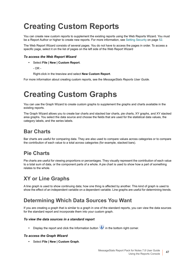# <span id="page-46-1"></span>**Creating Custom Reports**

You can create new custom reports to supplement the existing reports using the Web Reports Wizard. You must be a Report Author or higher to create new reports. For more information, see [Setting Security on page 52](#page-51-0).

The Web Report Wizard consists of several pages. You do not have to access the pages in order. To access a specific page, select it on the list of pages on the left side of the Web Report Wizard

#### *To access the Web Report Wizard*

- **•** Select **File | New | Custom Report**.
	- $-$  OR  $-$

Right-click in the treeview and select **New Custom Report**.

For more information about creating custom reports, see the *MessageStats Reports User Guide*.

# <span id="page-46-0"></span>**Creating Custom Graphs**

You can use the Graph Wizard to create custom graphs to supplement the graphs and charts available in the existing reports.

The Graph Wizard allows you to create bar charts and stacked bar charts, pie charts, XY graphs, and XY stacked area graphs. You select the data source and choose the fields that are used for the statistical data values, the category labels, and the series labels.

### **Bar Charts**

Bar charts are useful for comparing data. They are also used to compare values across categories or to compare the contribution of each value to a total across categories (for example, stacked bars).

### **Pie Charts**

Pie charts are useful for viewing proportions or percentages. They visually represent the contribution of each value to a total sum of data, or the component parts of a whole. A pie chart is used to show how a part of something relates to the whole.

### **XY or Line Graphs**

A line graph is used to show continuing data; how one thing is affected by another. This kind of graph is used to show the effect of an independent variable on a dependent variable. Line graphs are useful for determining trends.

### **Determining Which Data Sources You Want**

If you are creating a graph that is similar to a graph in one of the standard reports, you can view the data sources for the standard report and incorporate them into your custom graph.

#### *To view the data sources in a standard report*

• Display the report and click the Information button **i** in the bottom right corner.

#### *To access the Graph Wizard*

**•** Select **File | New | Custom Graph**.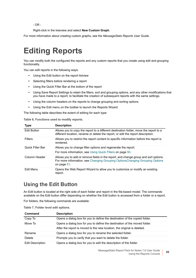- OR -

Right-click in the treeview and select **New Custom Graph**.

For more information about creating custom graphs, see the *MessageStats Reports User Guide.*

# <span id="page-47-0"></span>**Editing Reports**

You can modify both the configured the reports and any custom reports that you create using edit and grouping functionality.

You can edit reports in the following ways:

- <span id="page-47-1"></span>**•** Using the Edit button on the report listview
- **•** Selecting filters before rendering a report
- **•** Using the Quick Filter Bar at the bottom of the report
- **•** Using Save Report Settings to retain the filters, sort and grouping options, and any other modifications that you have made to a report, to facilitate the creation of subsequent reports with the same settings.
- **•** Using the column headers on the reports to change grouping and sorting options
- **•** Using the Edit menu on the toolbar to launch the Reports Wizard

The following table describes the extent of editing for each type:

**Table 6. Functions used to modify reports.**

| <b>Type</b>             | <b>Description</b>                                                                                                                                                                  |
|-------------------------|-------------------------------------------------------------------------------------------------------------------------------------------------------------------------------------|
| <b>Edit Button</b>      | Allows you to copy the report to a different destination folder, move the report to a<br>different location, rename or delete the report, or edit the report description.           |
| Filters                 | Allows you to restrict the report content to specific information before the report is<br>rendered.                                                                                 |
| <b>Quick Filter Bar</b> | Allows you to change filter options and regenerate the report.                                                                                                                      |
|                         | For more information, see Using Quick Filters on page 50.                                                                                                                           |
| Column Header           | Allows you to add or remove fields in the report, and change group and sort options.<br>For more information, see Changing Grouping OptionsChanging Grouping Options<br>on page 51. |
| Edit Menu               | Opens the Web Report Wizard to allow you to customize or modify an existing<br>report.                                                                                              |

### **Using the Edit Button**

An Edit button is located at the right side of each folder and report in the file-based model. The commands available on the Edit button differ depending on whether the Edit button is accessed from a folder or a report.

For folders, the following commands are available:

**Table 7. Folder level edit options.**

| Command                 | <b>Description</b>                                                         |
|-------------------------|----------------------------------------------------------------------------|
| Copy To                 | Opens a dialog box for you to define the destination of the copied folder. |
| Move To                 | Opens a dialog box for you to define the destination of the moved folder.  |
|                         | After the report is moved to the new location, the original is deleted.    |
| Rename                  | Opens a dialog box for you to rename the selected folder.                  |
| Delete                  | Prompts you to verify that you want to delete the folder.                  |
| <b>Edit Description</b> | Opens a dialog box for you to edit the description of the folder.          |

MessageStats Report Pack for Notes 7.8 User Guide Using the Reports Console **<sup>48</sup>**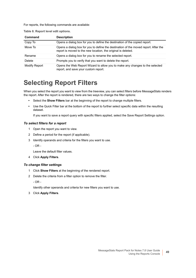For reports, the following commands are available:

**Table 8. Report level edit options.**

| Command       | <b>Description</b>                                                                                                                                   |  |
|---------------|------------------------------------------------------------------------------------------------------------------------------------------------------|--|
| Copy To       | Opens a dialog box for you to define the destination of the copied report.                                                                           |  |
| Move To       | Opens a dialog box for you to define the destination of the moved report. After the<br>report is moved to the new location, the original is deleted. |  |
| Rename        | Opens a dialog box for you to rename the selected report.                                                                                            |  |
| Delete        | Prompts you to verify that you want to delete the report.                                                                                            |  |
| Modify Report | Opens the Web Report Wizard to allow you to make any changes to the selected<br>report, and save your custom report.                                 |  |

## <span id="page-48-0"></span>**Selecting Report Filters**

When you select the report you want to view from the treeview, you can select filters before MessageStats renders the report. After the report is rendered, there are two ways to change the filter options:

- **•** Select the **Show Filters** bar at the beginning of the report to change multiple filters.
- **•** Use the Quick Filter bar at the bottom of the report to further select specific data within the resulting dataset.

If you want to save a report query with specific filters applied, select the Save Report Settings option.

#### *To select filters for a report*

- 1 Open the report you want to view.
- 2 Define a period for the report (if applicable).
- 3 Identify operands and criteria for the filters you want to use.
	- OR -

Leave the default filter values.

4 Click **Apply Filters**.

#### *To change filter settings*

- 1 Click **Show Filters** at the beginning of the rendered report.
- 2 Delete the criteria from a filter option to remove the filter.

- OR -

Identify other operands and criteria for new filters you want to use.

3 Click **Apply Filters**.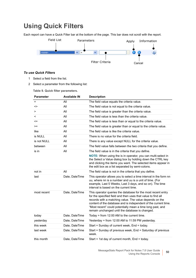## <span id="page-49-1"></span><span id="page-49-0"></span>**Using Quick Filters**

Each report can have a Quick Filter bar at the bottom of the page. This bar does not scroll with the report.

<span id="page-49-2"></span>

#### *To use Quick Filters*

- 1 Select a field from the list.
- 2 Select a parameter from the following list:

**Table 9. Quick filter parameters.**

| <b>Parameter</b> | <b>Available IN</b> | <b>Description</b>                                                                                                                                                                                                                                                                                                                                                          |
|------------------|---------------------|-----------------------------------------------------------------------------------------------------------------------------------------------------------------------------------------------------------------------------------------------------------------------------------------------------------------------------------------------------------------------------|
| $=$              | All                 | The field value equals the criteria value.                                                                                                                                                                                                                                                                                                                                  |
| <>               | All                 | The field value is not equal to the criteria value.                                                                                                                                                                                                                                                                                                                         |
| >                | All                 | The field value is greater than the criteria value.                                                                                                                                                                                                                                                                                                                         |
| $\,<\,$          | All                 | The field value is less than the criteria value.                                                                                                                                                                                                                                                                                                                            |
| <=               | All                 | The field value is less than or equal to the criteria value.                                                                                                                                                                                                                                                                                                                |
| $>=$             | All                 | The field value is greater than or equal to the criteria value.                                                                                                                                                                                                                                                                                                             |
| like             | All                 | The field value is like the criteria value.                                                                                                                                                                                                                                                                                                                                 |
| is NULL          | All                 | There is no value for the criteria field.                                                                                                                                                                                                                                                                                                                                   |
| is not NULL      | All                 | There is any value except NULL for the criteria value.                                                                                                                                                                                                                                                                                                                      |
| between          | All                 | The field value falls between the two criteria that you define.                                                                                                                                                                                                                                                                                                             |
| is in            | All                 | The field value is in the criteria that you define.<br>NOTE: When using the is in operator, you can multi-select in<br>the Select a Value dialog box by holding down the CTRL key<br>and clicking the items you want. The selected items appear in<br>the edit box as a list separated by semi-colons.                                                                      |
| not in           | All                 | The field value is not in the criteria that you define.                                                                                                                                                                                                                                                                                                                     |
| last             | Date, DateTime      | This operator allows you to select a time interval in the form nn<br>uu, where nn is a number and uu is a unit of time. (For<br>example, Last 5 Weeks, Last 3 days, and so on). The time<br>interval is based on the current time.                                                                                                                                          |
| most recent      | Date, DateTime      | This operator queries the database for the most recent entry<br>for the specified field and then uses that value to find all<br>records with a matching value. The value depends on the<br>content of the database and is independent of the current time.<br>"Most recent" could potentially mean a time long past, and<br>remain unchanged until the database is changed. |
| today            | Date, DateTime      | Today = from $12:00$ AM to the current time.                                                                                                                                                                                                                                                                                                                                |
| yesterday        | Date, DateTime      | Yesterday = from 12:00 AM to 11:59 PM yesterday.                                                                                                                                                                                                                                                                                                                            |
| this week        | Date, DateTime      | Start = Sunday of current week, End = today.                                                                                                                                                                                                                                                                                                                                |
| last week        | Date, DateTime      | Start = Sunday of previous week, End = Saturday of previous<br>week.                                                                                                                                                                                                                                                                                                        |
| this month       | Date, DateTime      | Start = 1st day of current month, End = today.                                                                                                                                                                                                                                                                                                                              |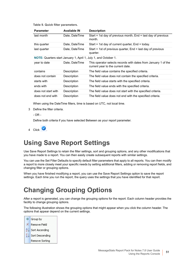**Table 9. Quick filter parameters.**

| <b>Parameter</b>    | <b>Available IN</b> | <b>Description</b>                                                                                  |
|---------------------|---------------------|-----------------------------------------------------------------------------------------------------|
| last month          | Date, DateTime      | Start = 1st day of previous month, End = last day of previous<br>month.                             |
| this quarter        | Date, DateTime      | Start = 1st day of current quarter, End = today.                                                    |
| last quarter        | Date, DateTime      | Start = 1st of previous quarter, End = last day of previous<br>quarter.                             |
|                     |                     | <b>NOTE:</b> Quarters start January 1, April 1, July 1, and October 1.                              |
| year to date        | Date, DateTime      | This operator selects records with dates from January 1 of the<br>current year to the current date. |
| contains            | Description         | The field value contains the specified criteria.                                                    |
| does not contain    | Description         | The field value does not contain the specified criteria.                                            |
| starts with         | Description         | The field value starts with the specified criteria.                                                 |
| ends with           | Description         | The field value ends with the specified criteria.                                                   |
| does not start with | Description         | The field value does not start with the specified criteria.                                         |
| does not end with   | Description         | The field value does not end with the specified criteria.                                           |

When using the DateTime filters, time is based on UTC, not local time.

- 3 Define the filter criteria.
	- OR -

Define both criteria if you have selected Between as your report parameter.

4 Click  $\bigcirc$ 

### <span id="page-50-0"></span>**Using Save Report Settings**

Use Save Report Settings to retain the filter settings, sort and grouping options, and any other modifications that you have made to a report. You can then easily create subsequent reports with similar settings.

You can use the Set Filter Defaults to specify default filter parameters that apply to all reports. You can then modify a report to more closely meet your specific needs by setting additional filters, adding or removing report fields, and changing filter or grouping options.

When you have finished modifying a report, you can use the Save Report Settings option to save the report settings. Each time you run the report, the query uses the settings that you have identified for that report.

### <span id="page-50-1"></span>**Changing Grouping Options**

After a report is generated, you can change the grouping options for the report. Each column header provides the facility to change grouping options.

The following illustration shows the grouping options that might appear when you click the column header. The options that appear depend on the current settings.

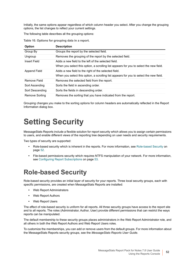Initially, the same options appear regardless of which column header you select. After you change the grouping options, the list changes to reflect your current settings.

The following table describes all the grouping options:

| <b>Option</b>   | <b>Description</b>                                                                     |
|-----------------|----------------------------------------------------------------------------------------|
| Group By        | Groups the report by the selected field.                                               |
| Ungroup         | Removes the grouping of the report by the selected field.                              |
| Insert Field    | Adds a new field to the left of the selected field.                                    |
|                 | When you select this option, a scrolling list appears for you to select the new field. |
| Append Field    | Adds a new field to the right of the selected field.                                   |
|                 | When you select this option, a scrolling list appears for you to select the new field. |
| Remove Field    | Removes the selected field from the report.                                            |
| Sort Ascending  | Sorts the field in ascending order.                                                    |
| Sort Descending | Sorts the fields in descending order.                                                  |
| Remove Sorting  | Removes the sorting that you have indicated from the report.                           |

**Table 10. Options for grouping data in a report.**

Grouping changes you make to the sorting options for column headers are automatically reflected in the Report Information dialog box.

# <span id="page-51-0"></span>**Setting Security**

MessageStats Reports include a flexible solution for report security which allows you to assign certain permissions to users, and enable different views of the reporting tree depending on user needs and security requirements.

Two types of security are supported:

- <span id="page-51-2"></span>**•** Role-based security which is inherent in the reports. For more information, see [Role-based Security on](#page-51-1)  [page 52](#page-51-1).
- **•** File-based permissions security which requires NTFS manipulation of your network. For more information, see [Configuring Report Subscriptions on page 53](#page-52-0).

## <span id="page-51-1"></span>**Role-based Security**

Role-based security provides an initial layer of security for your reports. Three local security groups, each with specific permissions, are created when MessageStats Reports are installed:

- **•** Web Report Administrators
- **•** Web Report Authors
- **•** Web Report Users

The effect of role-based security is uniform for all reports. All three security groups have access to the report site and to all reports. The roles (Administrator, Author, User) provide different permissions that can restrict the ways reports can be manipulated.

The default membership to these security groups places administrators in the Web Report Administrator role, and all others in both the Web Report Authors and Web Report Users roles.

To customize the memberships, you can add or remove users from the default groups. For more information about the MessageStats Reports security groups, see the *MessageStats Reports User Guide*.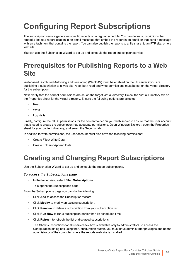# <span id="page-52-0"></span>**Configuring Report Subscriptions**

The subscription service generates specific reports on a regular schedule. You can define subscriptions that embed a link to a report location in an email message, that embed the report in an email, or that send a message with an attachment that contains the report. You can also publish the reports to a file share, to an FTP site, or to a web site.

You can use the Subscription Wizard to set up and schedule the report subscription service.

## **Prerequisites for Publishing Reports to a Web Site**

<span id="page-52-2"></span>Web-based Distributed Authoring and Versioning (WebDAV) must be enabled on the IIS server if you are publishing a subscription to a web site. Also, both read and write permissions must be set on the virtual directory for the subscription.

Next, verify that the correct permissions are set on the target virtual directory. Select the Virtual Directory tab on the Properties sheet for the virtual directory. Ensure the following options are selected:

- **•** Read
- **•** Write
- **•** Log visits

Finally, configure the NTFS permissions for the content folder on your web server to ensure that the user account that is used to create the subscription has adequate permissions. Open Windows Explorer, open the Properties sheet for your content directory, and select the Security tab.

In addition to write permissions, the user account must also have the following permissions:

- **•** Create Files/ Write Data
- **•** Create Folders/ Append Data

## **Creating and Changing Report Subscriptions**

Use the Subscription Wizard to set up and schedule the report subscriptions.

#### *To access the Subscriptions page*

**•** In the folder view, select **File | Subscriptions**.

<span id="page-52-1"></span>This opens the Subscriptions page.

From the Subscriptions page you can do the following:

- **•** Click **Add** to access the Subscription Wizard.
- **•** Click **Modify** to modify an existing subscription.
- **•** Click **Remove** to delete a subscription from your subscription list.
- **•** Click **Run Now** to run a subscription earlier than its scheduled time.
- **•** Click **Refresh** to refresh the list of displayed subscriptions.

The Show subscriptions for all users check box is available only to administrators.To access the Configuration dialog box using the Configuration button, you must have administrator privileges and be the administrator of the computer where the reports web site is installed.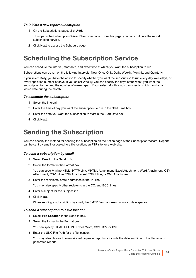#### *To initiate a new report subscription*

1 On the Subscriptions page, click **Add**.

This opens the Subscription Wizard Welcome page. From this page, you can configure the report subscription service.

2 Click **Next** to access the Schedule page.

## <span id="page-53-1"></span>**Scheduling the Subscription Service**

You can schedule the interval, start date, and exact time at which you want the subscription to run.

Subscriptions can be run on the following intervals: Now, Once Only, Daily, Weekly, Monthly, and Quarterly.

If you select Daily, you have the option to specify whether you want the subscription to run every day, weekdays, or every specified number of days. If you select Weekly, you can specify the days of the week you want the subscription to run, and the number of weeks apart. If you select Monthly, you can specify which months, and which date during the month.

#### *To schedule the subscription*

- 1 Select the interval.
- 2 Enter the time of day you want the subscription to run in the Start Time box.
- 3 Enter the date you want the subscription to start in the Start Date box.
- <span id="page-53-2"></span>4 Click **Next**.

### **Sending the Subscription**

You can specify the method for sending the subscription on the Action page of the Subscription Wizard. Reports can be sent by email, or copied to a file location, an FTP site, or a web site.

#### *To send a subscription by email*

- 1 Select **Email** in the Send to box.
- 2 Select the format in the Format box.

You can specify Inline HTML, HTTP Link, MHTML Attachment, Excel Attachment, Word Attachment, CSV Attachment, CSV Inline, TSV Attachment, TSV Inline, or XML Attachment.

3 Enter the recipients' email addresses in the To: line.

You may also specify other recipients in the CC: and BCC: lines.

- 4 Enter a subject for the Subject line.
- 5 Click **Next.**

When sending a subscription by email, the SMTP From address cannot contain spaces.

#### *To send a subscription to a file location*

- 1 Select **File Location** in the Send to box.
- 2 Select the format in the Format box.

<span id="page-53-0"></span>You can specify HTML, MHTML, Excel, Word, CSV, TSV, or XML.

3 Enter the UNC File Path for the file location.

You may also choose to overwrite old copies of reports or include the date and time in the filename of generated reports.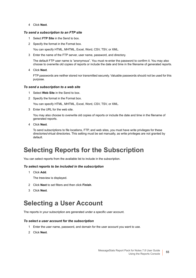4 Click **Next**.

#### <span id="page-54-1"></span>*To send a subscription to an FTP site*

- 1 Select **FTP Site** in the Send to box.
- 2 Specify the format in the Format box.

You can specify HTML, MHTML, Excel, Word, CSV, TSV, or XML.

3 Enter the name of the FTP server, user name, password, and directory.

The default FTP user name is "anonymous". You must re-enter the password to confirm it. You may also choose to overwrite old copies of reports or include the date and time in the filename of generated reports.

4 Click **Next**.

FTP passwords are neither stored nor transmitted securely. Valuable passwords should not be used for this purpose.

#### <span id="page-54-2"></span>*To send a subscription to a web site*

- 1 Select **Web Site** in the Send to box.
- 2 Specify the format in the Format box.

You can specify HTML, MHTML, Excel, Word, CSV, TSV, or XML.

3 Enter the URL for the web site.

You may also choose to overwrite old copies of reports or include the date and time in the filename of generated reports.

4 Click **Next**.

To send subscriptions to file locations, FTP, and web sites, you must have write privileges for these directories/virtual directories. This setting must be set manually, as write privileges are not granted by default.

## **Selecting Reports for the Subscription**

You can select reports from the available list to include in the subscription.

#### *To select reports to be included in the subscription*

1 Click **Add**.

<span id="page-54-0"></span>The treeview is displayed.

- 2 Click **Next** to set filters and then click **Finish**.
- 3 Click **Next**.

### **Selecting a User Account**

The reports in your subscription are generated under a specific user account.

#### *To select a user account for the subscription*

- <span id="page-54-3"></span>1 Enter the user name, password, and domain for the user account you want to use.
- 2 Click **Next**.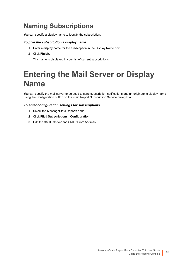## **Naming Subscriptions**

<span id="page-55-0"></span>You can specify a display name to identify the subscription.

#### *To give the subscription a display name*

- 1 Enter a display name for the subscription in the Display Name box.
- 2 Click **Finish**.

This name is displayed in your list of current subscriptions.

# **Entering the Mail Server or Display Name**

You can specify the mail server to be used to send subscription notifications and an originator's display name using the Configuration button on the main Report Subscription Service dialog box.

#### *To enter configuration settings for subscriptions*

- 1 Select the MessageStats Reports node.
- 2 Click **File | Subscriptions | Configuration**.
- 3 Edit the SMTP Server and SMTP From Address.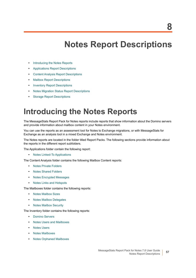# **Notes Report Descriptions**

- **•** [Introducing the Notes Reports](#page-56-1)
- **•** [Applications Report Descriptions](#page-57-2)
- **•** [Content Analysis Report Descriptions](#page-57-1)
- **•** [Mailbox Report Descriptions](#page-58-0)
- **•** [Inventory Report Descriptions](#page-59-0)
- **•** [Notes Migration Status Report Descriptions](#page-60-2)
- **•** [Storage Report Descriptions](#page-62-0)

## <span id="page-56-1"></span><span id="page-56-0"></span>**Introducing the Notes Reports**

The MessageStats Report Pack for Notes reports include reports that show information about the Domino servers and provide information about mailbox content in your Notes environment.

You can use the reports as an assessment tool for Notes to Exchange migrations, or with MessageStats for Exchange as an analysis tool in a mixed Exchange and Notes environment.

The Notes reports are located in the folder titled Report Packs. The following sections provide information about the reports in the different report subfolders.

The Applications folder contain the following report:

**•** [Notes Linked-To Applications](#page-57-3)

The Content Analysis folder contains the following Mailbox Content reports:

- **•** [Notes Private Folders](#page-57-0)
- **•** [Notes Shared Folders](#page-58-2)
- **•** [Notes Encrypted Messages](#page-58-3)
- **•** [Notes Links and Hotspots](#page-58-4)

The Mailboxes folder contains the following reports:

- **•** [Notes Mailbox Sizes](#page-58-1)
- **•** [Notes Mailbox Delegates](#page-59-4)
- **•** [Notes Mailbox Security](#page-59-5)

The Inventory folder contains the following reports:

- **•** [Domino Servers](#page-59-1)
- **•** [Notes Users and Mailboxes](#page-59-2)
- **•** [Notes Users](#page-59-3)
- **•** [Notes Mailboxes](#page-60-0)
- **•** [Notes Orphaned Mailboxes](#page-60-1)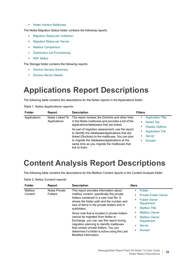**•** [Notes Inactive Mailboxes](#page-60-3)

The Notes Migration Status folder contains the following reports:

- **•** [Migration Status per Collection](#page-61-0)
- **•** [Migration Status per Server](#page-61-1)
- **•** [Mailbox Comparison](#page-61-2)
- **•** [Distribution List Provisioning](#page-61-3)
- **•** [NSF Status](#page-61-4)

The Storage folder contains the following reports:

- **•** [Domino Servers Summary](#page-62-1)
- **•** [Domino Server Details](#page-62-2)

## <span id="page-57-2"></span>**Applications Report Descriptions**

The following table contains the descriptions for the Notes reports in the Applications folder:

**Table 1. Notes Applications reports.**

<span id="page-57-3"></span>

| <b>Folder</b> | <b>Report</b>                   | <b>Description</b>                                                                                                                                                                                                                                                     | <b>Filters</b>                                                                  |
|---------------|---------------------------------|------------------------------------------------------------------------------------------------------------------------------------------------------------------------------------------------------------------------------------------------------------------------|---------------------------------------------------------------------------------|
| Applications  | Notes Linked-To<br>Applications | The report reviews the Doclinks and other links<br>in the Notes mailboxes and provides a list of the<br>applications/databases that are linked.                                                                                                                        | <b>Application Title</b><br>٠<br><b>Select Top</b><br>٠                         |
|               |                                 | As part of migration assessment, use the report<br>to identify the databases/applications that are<br>linked (Doclinks) to the mailboxes. You can plan<br>to migrate the databases/applications at the<br>same time as you migrate the mailboxes that<br>link to them. | <b>Display Options</b><br>٠<br><b>Application File</b><br>Server<br>Domain<br>٠ |

## <span id="page-57-1"></span>**Content Analysis Report Descriptions**

The following table contains the descriptions for the Mailbox Content reports in the Content Analysis folder:

**Table 2. Notes Content reports**

<span id="page-57-0"></span>

| <b>Notes Private</b><br>This report provides information about<br>Mailbox<br>$\bullet$<br><b>Folders</b><br>Content<br>mailbox content, specifically the private<br>folders contained in a user mail file. It<br>٠<br>shows the folder path and the number and<br>size of items in the private folders and in<br>٠<br>subfolders.<br>٠<br>Since mail that is located in private folders<br>cannot be migrated from Notes to<br>٠<br>Exchange, you can use this report during<br>migration planning to identify mailboxes<br>٠<br>that contain private folders. You can<br>٠<br>determine if a folder is active using the Last<br>Modified information. | Folder<br><b>Private Folder Owner</b><br><b>Folder Owner</b><br>Department<br><b>Mailbox Title</b><br><b>Mailbox Owner</b><br><b>Mailbox Owner</b><br>Department<br><b>Server</b><br>Domain |
|--------------------------------------------------------------------------------------------------------------------------------------------------------------------------------------------------------------------------------------------------------------------------------------------------------------------------------------------------------------------------------------------------------------------------------------------------------------------------------------------------------------------------------------------------------------------------------------------------------------------------------------------------------|---------------------------------------------------------------------------------------------------------------------------------------------------------------------------------------------|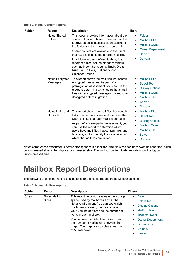**Table 2. Notes Content reports**

<span id="page-58-3"></span><span id="page-58-2"></span>

| <b>Folder</b> | <b>Report</b>               | <b>Description</b>                                                                                                                                                                                                                                                                                                                                                                                                                                                                           | ilters                                                                                                                                                                                                                                   |
|---------------|-----------------------------|----------------------------------------------------------------------------------------------------------------------------------------------------------------------------------------------------------------------------------------------------------------------------------------------------------------------------------------------------------------------------------------------------------------------------------------------------------------------------------------------|------------------------------------------------------------------------------------------------------------------------------------------------------------------------------------------------------------------------------------------|
|               | Notes Shared<br>Folders     | This report provides information about any<br>shared folders contained in a user mail file.<br>It provides basic statistics such as size of<br>the folder and the number of items in it.<br>Shared folders are available to the users<br>that have access to the specific mail file.<br>In addition to user-defined folders, this<br>report can also include standard folders<br>such as Inbox, Sent, Junk, Trash, Drafts,<br>Rules, All To Do's, Stationery, and<br><b>Calendar Fntries</b> | Folder<br>$\bullet$<br><b>Mailbox Title</b><br>$\bullet$<br><b>Mailbox Owner</b><br>$\bullet$<br><b>Owner Department</b><br>٠<br><b>Server</b><br>Domain                                                                                 |
|               | Notes Encrypted<br>Messages | This report shows the mail files that contain<br>encrypted messages. As part of a<br>premigration assessment, you can use this<br>report to determine which users have mail<br>files with encrypted messages that must be<br>decrypted before migration.                                                                                                                                                                                                                                     | <b>Mailbox Title</b><br>$\bullet$<br><b>Select Top</b><br>$\bullet$<br><b>Display Options</b><br>$\bullet$<br><b>Mailbox Owner</b><br>$\bullet$<br><b>Mailbox File</b><br>$\bullet$<br><b>Server</b><br>$\bullet$<br>Domain<br>$\bullet$ |
|               | Notes Links and<br>Hotspots | This report shows the mail files that contain<br>links to other databases and identifies the<br>types of links that each mail file contains.<br>As part of a premigration assessment, you<br>can use the report to determine which<br>users have mail files that contain links and<br>hotspots, and to identify the databases to<br>which the mail files are linked.                                                                                                                         | <b>Mailbox Title</b><br>$\bullet$<br><b>Select Top</b><br>$\bullet$<br><b>Display Options</b><br>$\bullet$<br><b>Mailbox Owner</b><br>$\bullet$<br><b>Mailbox File</b><br>$\bullet$<br><b>Server</b><br>Domain<br>$\bullet$              |

<span id="page-58-4"></span>Notes compresses attachments before storing them in a mail file. Mail file sizes can be viewed as either the logical uncompressed size or the physical compressed size. The mailbox content folder reports show the logical uncompressed size.

## <span id="page-58-0"></span>**Mailbox Report Descriptions**

The following table contains the descriptions for the Notes reports in the Mailboxes folder:

**Table 3. Notes Mailbox reports**

<span id="page-58-1"></span>

| <b>Folder</b> | Report        | <b>Description</b>                                                                                                                                                         | <b>Filters</b>          |
|---------------|---------------|----------------------------------------------------------------------------------------------------------------------------------------------------------------------------|-------------------------|
| <b>Sizes</b>  | Notes Mailbox | This report helps you evaluate the storage                                                                                                                                 | Date                    |
|               | Sizes         | space used by mailboxes across the<br>Notes environment. You can see which<br>mailboxes are using the most space on                                                        | <b>Select Top</b>       |
|               |               |                                                                                                                                                                            | <b>Display Options</b>  |
|               |               | your Domino servers and the number of                                                                                                                                      | <b>Mailbox Title</b>    |
|               |               | items in each mailbox.<br>You can use the Select Top filter to limit<br>the number of mailboxes shown in the<br>graph. The graph can display a maximum<br>of 50 mailboxes. | <b>Mailbox Owner</b>    |
|               |               |                                                                                                                                                                            | <b>Owner Department</b> |
|               |               |                                                                                                                                                                            | Organization            |
|               |               |                                                                                                                                                                            | Domain                  |
|               |               |                                                                                                                                                                            | <b>Server</b>           |

L,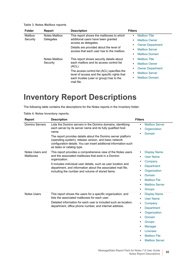| <b>Table 3. Notes Mailbox reports</b> |  |  |  |
|---------------------------------------|--|--|--|
|---------------------------------------|--|--|--|

<span id="page-59-5"></span><span id="page-59-4"></span>

| <b>Folder</b>       | <b>Report</b>                     | <b>Description</b>                                                                                                                                                                                                                                     | <b>Filters</b>                                                                                                                                                     |
|---------------------|-----------------------------------|--------------------------------------------------------------------------------------------------------------------------------------------------------------------------------------------------------------------------------------------------------|--------------------------------------------------------------------------------------------------------------------------------------------------------------------|
| Mailbox<br>Security | Notes Mailbox<br><b>Delegates</b> | This report shows the mailboxes to which<br>additional users have been granted<br>access as delegates.<br>Details are provided about the level of<br>access that each user has to the mailbox.                                                         | <b>Mailbox Title</b><br>٠<br><b>Mailbox Owner</b><br>$\bullet$<br><b>Owner Department</b><br>٠<br><b>Mailbox Server</b><br>٠<br><b>Mailbox Domain</b><br>٠         |
|                     | Notes Mailbox<br>Security         | This report shows security details about<br>each mailbox and its access control list<br>(ACL).<br>The access control list (ACL) specifies the<br>level of access and the specific rights that<br>each trustee (user or group) has to the<br>mail file. | <b>Mailbox Title</b><br>$\bullet$<br><b>Mailbox Owner</b><br>$\bullet$<br><b>Owner Department</b><br>٠<br><b>Mailbox Server</b><br>٠<br><b>Mailbox Domain</b><br>٠ |

## <span id="page-59-0"></span>**Inventory Report Descriptions**

The following table contains the descriptions for the Notes reports in the Inventory folder:

<span id="page-59-3"></span><span id="page-59-2"></span><span id="page-59-1"></span>

| Report                       | <b>Description</b>                                                                                                                                                                                                                                                                                                                                              | <b>Filters</b>                                                                                                                                                                                                                                     |
|------------------------------|-----------------------------------------------------------------------------------------------------------------------------------------------------------------------------------------------------------------------------------------------------------------------------------------------------------------------------------------------------------------|----------------------------------------------------------------------------------------------------------------------------------------------------------------------------------------------------------------------------------------------------|
| <b>Domino Servers</b>        | Lists the Domino servers in the Domino domains, identifying<br>each server by its server name and its fully qualified host<br>name.<br>The report provides details about the Domino server platform<br>(operating system), release version, and basic network<br>configuration details. You can insert additional information such<br>as tasks or catalog type. | <b>Mailbox Server</b><br>٠<br>Organization<br>٠<br><b>Domain</b><br>٠                                                                                                                                                                              |
| Notes Users and<br>Mailboxes | This report provides a comprehensive view of the Notes users<br>and the associated mailboxes that exist in a Domino<br>organization.<br>It includes individual user details, such as user location and<br>department, and information about the associated mail file,<br>including the number and volume of stored items.                                       | <b>Display Name</b><br>$\bullet$<br><b>User Name</b><br>٠<br>Company<br>٠<br>Department<br>٠<br>Organization<br>٠<br>Domain<br>٠<br><b>Mailbox File</b><br>٠<br><b>Mailbox Server</b><br>٠<br>Groups<br>٠                                          |
| <b>Notes Users</b>           | This report shows the users for a specific organization, and<br>lists the associated mailboxes for each user.<br>Detailed information for each user is included such as location,<br>department, office phone number, and internet address.                                                                                                                     | <b>Display Name</b><br>٠<br><b>User Name</b><br>$\bullet$<br>Company<br>٠<br>Department<br>٠<br>Organization<br>$\bullet$<br>Domain<br>٠<br>Groups<br>٠<br>Manager<br>٠<br>Licenses<br>٠<br><b>Mailbox File</b><br>٠<br><b>Mailbox Server</b><br>٠ |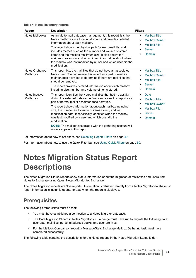**Table 4. Notes Inventory reports.**

<span id="page-60-1"></span><span id="page-60-0"></span>

| Report                      | <b>Description</b>                                                                                                                                                                                                                                                                                                                                                                                                                                                                                                                                             | <b>Filters</b>                                                                                                                                                               |
|-----------------------------|----------------------------------------------------------------------------------------------------------------------------------------------------------------------------------------------------------------------------------------------------------------------------------------------------------------------------------------------------------------------------------------------------------------------------------------------------------------------------------------------------------------------------------------------------------------|------------------------------------------------------------------------------------------------------------------------------------------------------------------------------|
| Notes Mailboxes             | As an aid to mail database management, this report lists the<br>Notes mailboxes in a Domino domain and provides detailed<br>information about each mailbox.<br>The report shows the physical path for each mail file, and<br>includes metrics such as the number and volume of stored<br>items and the mailbox maximum size. It also shows the<br>mailbox creation date. You can insert information about when<br>the mailbox was last modified by a user and which user did the<br>modification.                                                              | <b>Mailbox Title</b><br>$\bullet$<br><b>Mailbox Owner</b><br>$\bullet$<br><b>Mailbox File</b><br>$\bullet$<br><b>Server</b><br>$\bullet$<br>Domain                           |
| Notes Orphaned<br>Mailboxes | This report lists the mail files that do not have an associated<br>Notes user. You can review this report as a part of mail file<br>maintenance activities to determine if there are mail files that<br>should be removed.<br>The report provides detailed information about each mailbox<br>including size, number and volume of items stored.                                                                                                                                                                                                                | <b>Mailbox Title</b><br>$\bullet$<br><b>Mailbox Owner</b><br>$\bullet$<br><b>Mailbox File</b><br>$\bullet$<br><b>Server</b><br>$\bullet$<br>Domain<br>٠                      |
| Notes Inactive<br>Mailboxes | This report identifies the Notes mail files that had no activity<br>during the selected date range. You can review this report as a<br>part of normal mail file maintenance activities.<br>The report shows information about each mailbox including<br>size, the number and volume of items stored, and last<br>modification date. It specifically identifies when the mailbox<br>was last modified by a user and which user did the<br>modification.<br><b>NOTE:</b> The mailbox associated with the gathering account will<br>always appear in this report. | Date<br>$\bullet$<br><b>Mailbox Title</b><br>$\bullet$<br><b>Mailbox Owner</b><br>$\bullet$<br><b>Mailbox File</b><br>$\bullet$<br><b>Server</b><br>٠<br>Domain<br>$\bullet$ |

<span id="page-60-3"></span>For information about how to set filters, see [Selecting Report Filters on page 49.](#page-48-0)

For information about how to use the Quick Filter bar, see [Using Quick Filters on page 50](#page-49-1).

# <span id="page-60-2"></span>**Notes Migration Status Report Descriptions**

The Notes Migration Status reports show status information about the migration of mailboxes and users from Notes to Exchange using Quest Notes Migrator for Exchange.

The Notes Migration reports are "live reports". Information is retrieved directly from a Notes Migrator database, so report information is instantly update-to-date when the report is displayed.

### **Prerequisites**

The following prerequisites must be met:

- **•** You must have established a connection to a Notes Migrator database.
- **•** The Data Migration Wizard in Notes Migrator for Exchange must have run to migrate the following data: user data, mail files, personal address books, and user archives.
- **•** For the Mailbox Comparison report, a MessageStats Exchange Mailbox Gathering task must have completed successfully.

The following table contains the descriptions for the Notes reports in the Notes Migration Status folder: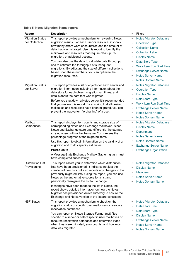**Table 5. Notes Migration Status reports.**

<span id="page-61-4"></span><span id="page-61-3"></span><span id="page-61-2"></span><span id="page-61-1"></span><span id="page-61-0"></span>

| <b>Report</b>                             | <b>Description</b>                                                                                                                                                                                                                                                                                                                                                                                                                                                                                                                                                               | Filters<br>$\bullet$                                                                                                                                                                                                                                                                                                                                                          |
|-------------------------------------------|----------------------------------------------------------------------------------------------------------------------------------------------------------------------------------------------------------------------------------------------------------------------------------------------------------------------------------------------------------------------------------------------------------------------------------------------------------------------------------------------------------------------------------------------------------------------------------|-------------------------------------------------------------------------------------------------------------------------------------------------------------------------------------------------------------------------------------------------------------------------------------------------------------------------------------------------------------------------------|
| <b>Migration Status</b><br>per Collection | This report provides a mechanism for reviewing Notes<br>migration results. For each user or resource, it shows<br>how many errors were encountered and the amount of<br>data that was migrated. Use this report to identify the<br>mailboxes and resources that require cleanup, re-<br>migration, or additional actions.<br>You can also use the data to calculate data throughput<br>and to estimate the throughput of subsequent<br>migrations. By adjusting the size of different collections<br>based upon these numbers, you can optimize the<br>migration resources.      | <b>Notes Migrator Database</b><br>$\bullet$<br><b>Operation Type</b><br>$\bullet$<br><b>Collection Name</b><br>٠<br><b>Collection Label</b><br><b>Display Name</b><br>٠<br>Data Store Type<br>$\bullet$<br><b>Work Item Run Start Time</b><br>$\bullet$<br><b>Exchange Server Name</b><br>٠<br><b>Notes Server Name</b><br>$\bullet$<br><b>Notes Domain Name</b><br>$\bullet$ |
| <b>Migration Status</b><br>per Server     | This report provides a list of objects for each server and<br>migration information including information about the<br>data store for each object, migration run times, and<br>details about the data that was migrated.<br>Before you shut down a Notes server, it is recommended<br>that you review this report. By ensuring that all desired<br>mailboxes and resources have been migrated, you can<br>prevent the inadvertent "orphaning" of a user.                                                                                                                         | <b>Notes Migrator Database</b><br>$\bullet$<br><b>Operation Type</b><br>$\bullet$<br><b>Display Name</b><br>٠<br>Data Store Type<br>٠<br><b>Work Item Run Start Time</b><br>$\bullet$<br><b>Exchange Server Name</b><br>٠<br><b>Notes Server Name</b><br>$\bullet$<br><b>Notes Domain Name</b><br>$\bullet$                                                                   |
| Mailbox<br>Comparison                     | This report displays item counts and storage size of<br>corresponding Notes and Exchange mailboxes. Since<br>Notes and Exchange store data differently, the storage<br>size numbers will not be the same. You can see the<br>percentage progress of the migrated items.<br>Use this report to obtain information on the validity of a<br>migration and to do capacity estimates.<br><b>Prerequisite</b><br>A MessageStats Exchange Mailbox Gathering task must<br>have completed successfully.                                                                                   | <b>Notes Migrator Database</b><br>٠<br><b>Display Name</b><br>$\bullet$<br>Department<br>٠<br><b>Notes Server Name</b><br>$\bullet$<br><b>Notes Domain Name</b><br>٠<br><b>Exchange Server Name</b><br>$\bullet$<br><b>Exchange Organization</b><br>٠                                                                                                                         |
| <b>Distribution List</b><br>Provisioning  | This report allows you to determine which distribution<br>lists have been provisioned. It indicates not just the<br>creation of new lists but also reports any changes to the<br>previously migrated lists. Using the report, you can use<br>Notes as the authoritative source for a list and<br>periodically re-migrate the list to Exchange.<br>If changes have been made to the list in Notes, the<br>report shows detailed information on how the Notes<br>Migrator has provisioned Active Directory to ensure the<br>Exchange and Notes version of the list are consistent. | <b>Notes Migrator Database</b><br>$\bullet$<br><b>Display Name</b><br>٠<br><b>Members</b><br>$\bullet$<br><b>Notes Server Name</b><br>$\bullet$<br><b>Notes Domain Name</b>                                                                                                                                                                                                   |
| <b>NSF Status</b>                         | This report provides a mechanism to check on the<br>migration status of specific user mailboxes or resource<br>reservation databases.<br>You can report on Notes Storage Format (nsf) files<br>specific to a server or select specific user mailboxes or<br>resource reservation databases and determine if and<br>when they were migrated, error counts, and how much<br>data was migrated.                                                                                                                                                                                     | <b>Notes Migrator Database</b><br>$\bullet$<br><b>Data Store Title</b><br>$\bullet$<br>Data Store Type<br>$\bullet$<br><b>Display Name</b><br>٠<br><b>Exchange Server Name</b><br>٠<br><b>Notes Server Name</b><br><b>Notes Domain Name</b><br>٠                                                                                                                              |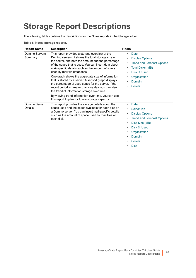# <span id="page-62-0"></span>**Storage Report Descriptions**

The following table contains the descriptions for the Notes reports in the Storage folder:

<span id="page-62-2"></span><span id="page-62-1"></span>

| <b>Report Name</b>        | <b>Description</b>                                                                                                                                                                                                                                                                                                                                                                                                                                                                                                                                                                                                                                                                          | <b>Filters</b>                                                                                                                                                                                                |
|---------------------------|---------------------------------------------------------------------------------------------------------------------------------------------------------------------------------------------------------------------------------------------------------------------------------------------------------------------------------------------------------------------------------------------------------------------------------------------------------------------------------------------------------------------------------------------------------------------------------------------------------------------------------------------------------------------------------------------|---------------------------------------------------------------------------------------------------------------------------------------------------------------------------------------------------------------|
| Domino Servers<br>Summary | This report provides a storage overview of the<br>Domino servers. It shows the total storage size on<br>the server, and both the amount and the percentage<br>of the space that is used. You can insert data about<br>mail-specific details such as the amount of space<br>used by mail file databases.<br>One graph shows the aggregate size of information<br>that is stored by a server. A second graph displays<br>the percentage of used space for the server. If the<br>report period is greater than one day, you can view<br>the trend of information storage over time.<br>By viewing trend information over time, you can use<br>this report to plan for future storage capacity. | Date<br>٠<br><b>Display Options</b><br><b>Trend and Forecast Options</b><br><b>Total Disks (MB)</b><br>٠<br>Disk % Used<br>Organization<br>Domain<br>$\bullet$<br><b>Server</b>                               |
| Domino Server<br>Details  | This report provides the storage details about the<br>space used and the space available for each disk on<br>a Domino server. You can insert mail-specific details<br>such as the amount of space used by mail files on<br>each disk.                                                                                                                                                                                                                                                                                                                                                                                                                                                       | Date<br><b>Select Top</b><br><b>Display Options</b><br>$\bullet$<br><b>Trend and Forecast Options</b><br>Disk Size (MB)<br>$\bullet$<br>Disk % Used<br>Organization<br>Domain<br><b>Server</b><br><b>Disk</b> |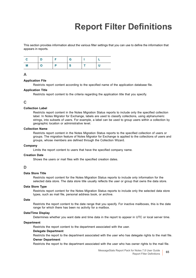# **Report Filter Definitions**

This section provides information about the various filter settings that you can use to define the information that appears in reports.

|   |   | G |  |
|---|---|---|--|
| M | n |   |  |

#### **A**

#### <span id="page-64-1"></span>**Application File**

Restricts report content according to the specified name of the application database file.

#### <span id="page-64-0"></span>**Application Title**

Restricts report content to the criteria regarding the application title that you specify.

#### **C**

#### <span id="page-64-7"></span>**Collection Label**

Restricts report content in the Notes Migration Status reports to include only the specified collection label. In Notes Migrator for Exchange, labels are used to classify collections, using alphanumeric strings, into subsets of users. For example, a label can be used to group users within a collection by geographic location or administrative level.

#### <span id="page-64-6"></span>**Collection Name**

Restricts report content in the Notes Migration Status reports to the specified collection of users or groups. The migration feature of Notes Migrator for Exchange is applied to the collections of users and groups, whose members are defined through the Collection Wizard.

#### <span id="page-64-4"></span>**Company**

Limits the report content to users that have the specified company name.

#### **Creation Date**

Shows the users or mail files with the specified creation dates.

#### **D**

#### <span id="page-64-9"></span>**Data Store Title**

Restricts report content for the Notes Migration Status reports to include only information for the selected data store. The data store title usually reflects the user or group that owns the data store.

#### <span id="page-64-8"></span>**Data Store Type**

Restricts report content for the Notes Migration Status reports to include only the selected data store types, such as mail file, personal address book, or archive.

#### <span id="page-64-2"></span>**Date**

Restricts the report content to the date range that you specify. For inactive mailboxes, this is the date range for which there has been no activity for a mailbox.

#### **Date/Time Display**

Determines whether you want date and time data in the report to appear in UTC or local server time.

#### <span id="page-64-5"></span>**Department**

Restricts the report content to the department associated with the user.

#### **Delegate Department**

<span id="page-64-3"></span>Restricts the report to the department associated with the user who has delegate rights to the mail file. **Owner Department**

Restricts the report to the department associated with the user who has owner rights to the mail file.

MessageStats Report Pack for Notes 7.8 User Guide or notes 7.8 User Guide<br>Report Filter Definitions **65**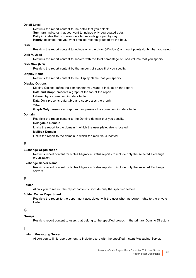#### **Detail Level**

Restricts the report content to the detail that you select: **Summary** indicates that you want to include only aggregated data. **Daily** indicates that you want detailed records grouped by day. **Hourly** indicated that you want detailed records grouped by the hour.

#### <span id="page-65-11"></span>**Disk**

Restricts the report content to include only the disks (Windows) or mount points (Unix) that you select.

#### <span id="page-65-9"></span>**Disk % Used**

Restricts the report content to servers with the total percentage of used volume that you specify.

#### <span id="page-65-10"></span>**Disk Size (MB)**

Restricts the report content by the amount of space that you specify.

#### <span id="page-65-4"></span>**Display Name**

Restricts the report content to the Display Name that you specify.

#### <span id="page-65-3"></span>**Display Options**

Display Options define the components you want to include on the report:

**Data and Graph** presents a graph at the top of the report

followed by a corresponding data table.

**Data Only** presents data table and suppresses the graph

view.

**Graph Only** presents a graph and suppresses the corresponding data table.

#### <span id="page-65-2"></span>**Domain**

Restricts the report content to the Domino domain that you specify.

#### **Delegate's Domain**

<span id="page-65-6"></span>Limits the report to the domain in which the user (delegate) is located.

#### **Mailbox Domain**

Limits the report to the domain in which the mail file is located.

#### **E**

#### <span id="page-65-8"></span>**Exchange Organization**

Restricts report content for Notes Migration Status reports to include only the selected Exchange organization.

#### <span id="page-65-7"></span>**Exchange Server Name**

Restricts report content for Notes Migration Status reports to include only the selected Exchange servers.

#### **F**

#### <span id="page-65-0"></span>**Folder**

Allows you to restrict the report content to include only the specified folders.

#### <span id="page-65-1"></span>**Folder Owner Department**

Restricts the report to the department associated with the user who has owner rights to the private folder.

#### **G**

#### <span id="page-65-5"></span>**Groups**

Restricts report content to users that belong to the specified groups in the primary Domino Directory.

#### **I**

#### **Instant Messaging Server**

Allows you to limit report content to include users with the specified Instant Messaging Server.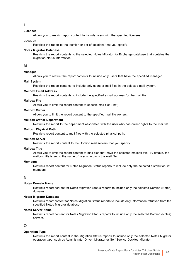**L**

#### <span id="page-66-6"></span>**Licenses**

Allows you to restrict report content to include users with the specified licenses.

#### **Location**

Restricts the report to the location or set of locations that you specify.

#### **Notes Migrator Database**

Restricts the report contents to the selected Notes Migrator for Exchange database that contains the migration status information.

#### **M**

#### <span id="page-66-5"></span>**Manager**

Allows you to restrict the report contents to include only users that have the specified manager.

#### **Mail System**

Restricts the report contents to include only users or mail files in the selected mail system.

#### **Mailbox Email Address**

Restricts the report contents to include the specified e-mail address for the mail file.

#### <span id="page-66-3"></span>**Mailbox File**

Allows you to limit the report content to specific mail files (.nsf).

#### <span id="page-66-1"></span>**Mailbox Owner**

Allows you to limit the report content to the specified mail file owners.

#### <span id="page-66-2"></span>**Mailbox Owner Department**

Restricts the report to the department associated with the user who has owner rights to the mail file.

#### **Mailbox Physical Path**

Restricts report content to mail files with the selected physical path.

#### <span id="page-66-4"></span>**Mailbox Server**

Restricts the report content to the Domino mail servers that you specify.

#### <span id="page-66-0"></span>**Mailbox Title**

Allows you to limit the report content to mail files that have the selected mailbox title. By default, the mailbox title is set to the name of user who owns the mail file.

#### <span id="page-66-11"></span>**Members**

Restricts report content for Notes Migration Status reports to include only the selected distribution list members.

#### **N**

#### <span id="page-66-10"></span>**Notes Domain Name**

Restricts report content for Notes Migration Status reports to include only the selected Domino (Notes) domains.

#### <span id="page-66-7"></span>**Notes Migrator Database**

Restricts report content for Notes Migration Status reports to include only information retrieved from the specified Notes Migrator database.

#### <span id="page-66-9"></span>**Notes Server Name**

Restricts report content for Notes Migration Status reports to include only the selected Domino (Notes) servers.

#### **O**

#### <span id="page-66-8"></span>**Operation Type**

Restricts the report content in the Migration Status reports to include only the selected Notes Migrator operation type, such as Administrator Driven Migrator or Self-Service Desktop Migrator.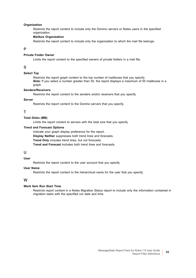#### <span id="page-67-3"></span>**Organization**

Restricts the report content to include only the Domino servers or Notes users in the specified organization.

#### **Mailbox Organization**

Restricts the report content to include only the organization to which the mail file belongs.

#### **P**

#### <span id="page-67-0"></span>**Private Folder Owner**

Limits the report content to the specified owners of private folders in a mail file.

#### **S**

#### <span id="page-67-2"></span>**Select Top**

Restricts the report graph content to the top number of mailboxes that you specify. *Note:* If you select a number greater than 50, the report displays a maximum of 50 mailboxes in a graph.

#### **Senders/Receivers**

Restricts the report content to the senders and/or receivers that you specify.

#### <span id="page-67-1"></span>**Server**

Restricts the report content to the Domino servers that you specify.

#### **T**

#### <span id="page-67-7"></span>**Total Disks (MB)**

Limits the report content to servers with the total size that you specify.

#### <span id="page-67-6"></span>**Trend and Forecast Options**

Indicate your graph display preference for the report.

**Display Neither** suppresses both trend lines and forecasts.

**Trend Only** includes trend lines, but not forecasts.

**Trend and Forecast** includes both trend lines and forecasts.

#### **U**

#### **User**

Restricts the report content to the user account that you specify.

#### <span id="page-67-4"></span>**User Name**

Restricts the report content to the hierarchical name for the user that you specify.

#### **W**

#### <span id="page-67-5"></span>**Work Item Run Start Time**

Restricts report content in a Notes Migration Status report to include only the information contained in migration tasks with the specified run date and time.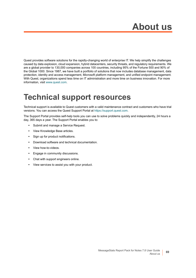Quest provides software solutions for the rapidly-changing world of enterprise IT. We help simplify the challenges caused by data explosion, cloud expansion, hybrid datacenters, security threats, and regulatory requirements. We are a global provider to 130,000 companies across 100 countries, including 95% of the Fortune 500 and 90% of the Global 1000. Since 1987, we have built a portfolio of solutions that now includes database management, data protection, identity and access management, Microsoft platform management, and unified endpoint management. With Quest, organizations spend less time on IT administration and more time on business innovation. For more information, visit [www.quest.com](https://www.quest.com/company/contact-us.aspx).

## **Technical support resources**

Technical support is available to Quest customers with a valid maintenance contract and customers who have trial versions. You can access the Quest Support Portal at [https://support.quest.com.](https://support.quest.com)

The Support Portal provides self-help tools you can use to solve problems quickly and independently, 24 hours a day, 365 days a year. The Support Portal enables you to:

- **•** Submit and manage a Service Request.
- **•** View Knowledge Base articles.
- **•** Sign up for product notifications.
- **•** Download software and technical documentation.
- **•** View how-to-videos.
- **•** Engage in community discussions.
- **•** Chat with support engineers online.
- **•** View services to assist you with your product.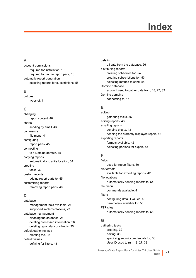# **Index**

#### **A**

account permissions [required for installation, 10](#page-9-1) [required to run the report pack, 10](#page-9-2) automatic report generation [selecting reports for subscriptions, 55](#page-54-0)

#### **B**

buttons [types of, 41](#page-40-2)

#### **C**

changing [report content, 48](#page-47-1) charts [sending by email, 43](#page-42-1) commands [file menu, 41](#page-40-3) configuring [report parts, 45](#page-44-1) connecting [to a Domino domain, 15](#page-14-0) copying reports [automatically to a file location, 54](#page-53-0) creating [tasks, 32](#page-31-0) custom reports [adding report parts to, 45](#page-44-1) customizing reports [removing report parts, 46](#page-45-1)

#### **D**

database [management tools available, 24](#page-23-0) [supported implementations, 23](#page-22-0) database management [cleaning the database, 26](#page-25-0) [deleting processed information, 26](#page-25-1) [deleting report data or objects, 25](#page-24-0) default gathering task [creating the, 32](#page-31-1) default values [defining for filters, 43](#page-42-2)

deleting [all data from the database, 26](#page-25-0) distributing reports [creating schedules for, 54](#page-53-1) [creating subscriptions for, 53](#page-52-1) [selecting method to send, 54](#page-53-2) Domino database [account used to gather data from, 18,](#page-17-0) [27,](#page-26-0) [33](#page-32-0) Domino domains [connecting to, 15](#page-14-0)

#### **E**

editing [gathering tasks, 36](#page-35-0) [editing reports, 48](#page-47-1) emailing reports [sending charts, 43](#page-42-1) [sending the currently displayed report, 42](#page-41-0) exporting reports [formats available, 42](#page-41-1) [selecting portions for export, 43](#page-42-3)

#### **F**

fields [used for report filters, 50](#page-49-2) file formats [available for exporting reports, 42](#page-41-1) file locations [automatically sending reports to, 54](#page-53-0) file menu [commands available, 41](#page-40-3) filters [configuring default values, 43](#page-42-2) [parameters available for, 50](#page-49-2) FTP sites [automatically sending reports to, 55](#page-54-1)

#### **G**

gathering tasks [creating, 32](#page-31-0) [editing, 36](#page-35-0) [specifying security credentials for, 35](#page-34-0) [User ID used to run, 18,](#page-17-0) [27,](#page-26-0) [33](#page-32-0)

MessageStats Report Pack for Notes 7.8 User Guide Guide 71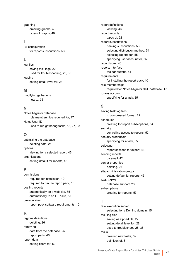graphing [emailing graphs, 43](#page-42-1) [types of graphs, 40](#page-39-0)

#### **I**

IIS configuration [for report subscriptions, 53](#page-52-2)

#### **L**

log files [saving task logs, 22](#page-21-0) [used for troubleshooting, 28,](#page-27-0) [35](#page-34-1) logging [setting detail level for, 28](#page-27-1)

#### **M**

modifying gatherings [how to, 36](#page-35-0)

#### **N**

Notes Migrator database [role memberships required for, 17](#page-16-0) Notes User ID [used to run gathering tasks, 18,](#page-17-0) [27,](#page-26-0) [33](#page-32-0)

#### **O**

optimizing the database [deleting data, 25](#page-24-0) options [viewing for a selected report, 46](#page-45-2) organizations [setting default for reports, 43](#page-42-2)

#### **P**

permissions [required for installation, 10](#page-9-1) [required to run the report pack, 10](#page-9-2) posting reports [automatically on a web site, 55](#page-54-2) [automatically to an FTP site, 55](#page-54-1) prerequisites [report pack software requirements, 10](#page-9-3)

#### **R**

regions definitions [deleting, 26](#page-25-1) removing [data from the database, 25](#page-24-0) [report parts, 46](#page-45-1) report data [setting filters for, 50](#page-49-2)

report definitions [viewing, 46](#page-45-2) report security [types of, 52](#page-51-2) report subscriptions [naming subscriptions, 56](#page-55-0) [selecting distribution method, 54](#page-53-2) [selecting reports for, 55](#page-54-0) [specifying user account for, 55](#page-54-3) [report types, 40](#page-39-1) reports interface [toolbar buttons, 41](#page-40-2) requirements [for installing the report pack, 10](#page-9-3) role memberships [required for Notes Migrator SQL database, 17](#page-16-0) run-as account [specifying for a task, 35](#page-34-0)

#### **S**

saving task log files [in compressed format, 22](#page-21-0) schedules [creating for report subscriptions, 54](#page-53-1) security [controlling access to reports, 52](#page-51-2) security credentials [specifying for a task, 35](#page-34-0) selecting [report sections for export, 43](#page-42-3) sending reports [by email, 42](#page-41-0) server properties [deleting, 26](#page-25-1) site/administration groups [setting default for reports, 43](#page-42-2) SQL Server [database support, 23](#page-22-0) subscriptions [creating for reports, 53](#page-52-1)

#### **T**

task execution server [selecting for a Domino domain, 15](#page-14-0) task log files [saving as zipped file, 22](#page-21-0) [setting detail level for, 28](#page-27-1) [used to troubleshoot, 28,](#page-27-0) [35](#page-34-1) tasks [creating new tasks, 32](#page-31-0) [definition of, 31](#page-30-0)

MessageStats Report Pack for Notes 7.8 User Guide Index **<sup>72</sup>**